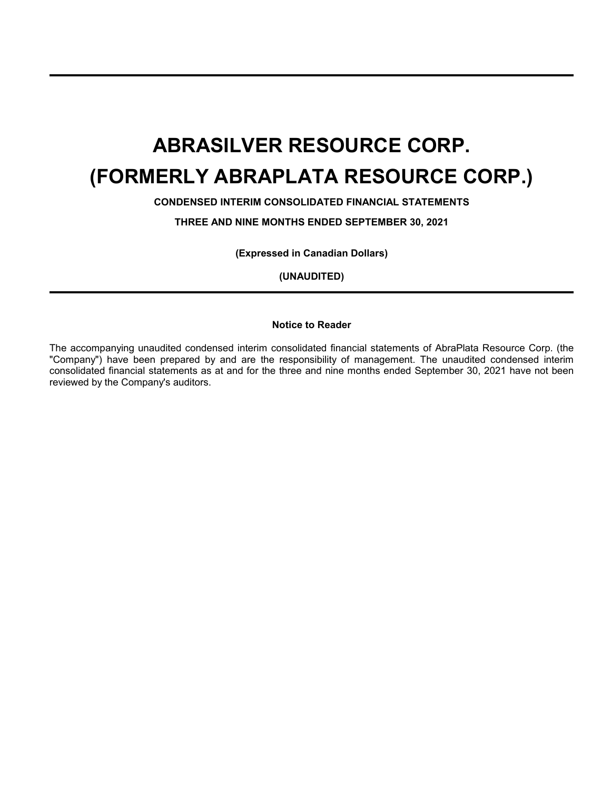**CONDENSED INTERIM CONSOLIDATED FINANCIAL STATEMENTS**

**THREE AND NINE MONTHS ENDED SEPTEMBER 30, 2021**

**(Expressed in Canadian Dollars)**

**(UNAUDITED)**

### **Notice to Reader**

The accompanying unaudited condensed interim consolidated financial statements of AbraPlata Resource Corp. (the "Company") have been prepared by and are the responsibility of management. The unaudited condensed interim consolidated financial statements as at and for the three and nine months ended September 30, 2021 have not been reviewed by the Company's auditors.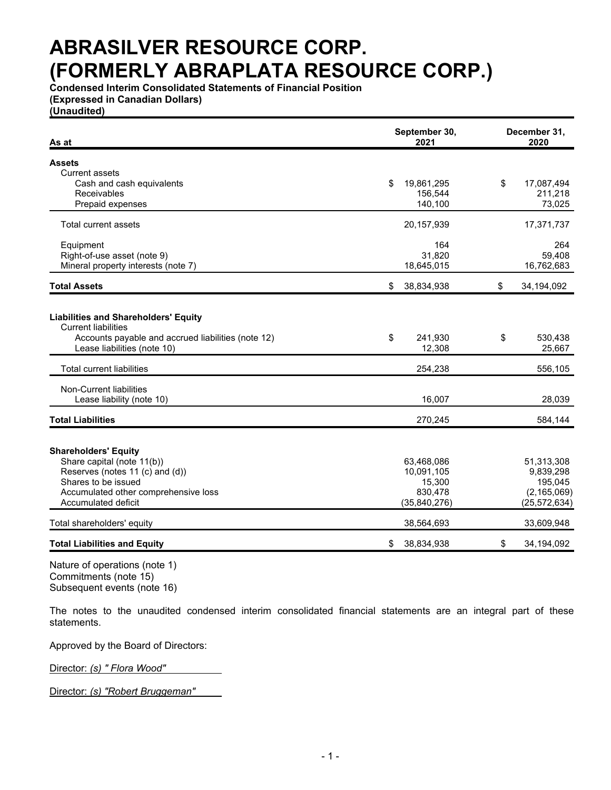**Condensed Interim Consolidated Statements of Financial Position (Expressed in Canadian Dollars)**

**(Unaudited)**

| As at                                                                                                                                                          | September 30,<br>2021   | December 31,<br>2020    |
|----------------------------------------------------------------------------------------------------------------------------------------------------------------|-------------------------|-------------------------|
| <b>Assets</b>                                                                                                                                                  |                         |                         |
| Current assets                                                                                                                                                 |                         |                         |
| Cash and cash equivalents                                                                                                                                      | 19,861,295<br>\$        | \$<br>17,087,494        |
| Receivables                                                                                                                                                    | 156,544                 | 211,218                 |
| Prepaid expenses                                                                                                                                               | 140,100                 | 73,025                  |
| <b>Total current assets</b>                                                                                                                                    | 20,157,939              | 17,371,737              |
| Equipment                                                                                                                                                      | 164                     | 264                     |
| Right-of-use asset (note 9)                                                                                                                                    | 31,820                  | 59,408                  |
| Mineral property interests (note 7)                                                                                                                            | 18,645,015              | 16,762,683              |
| <b>Total Assets</b>                                                                                                                                            | \$<br>38,834,938        | \$<br>34,194,092        |
| <b>Liabilities and Shareholders' Equity</b><br><b>Current liabilities</b><br>Accounts payable and accrued liabilities (note 12)<br>Lease liabilities (note 10) | \$<br>241,930<br>12,308 | \$<br>530,438<br>25,667 |
| <b>Total current liabilities</b>                                                                                                                               | 254,238                 | 556,105                 |
| Non-Current liabilities                                                                                                                                        |                         |                         |
| Lease liability (note 10)                                                                                                                                      | 16,007                  | 28,039                  |
| <b>Total Liabilities</b>                                                                                                                                       | 270,245                 | 584,144                 |
| <b>Shareholders' Equity</b>                                                                                                                                    |                         |                         |
| Share capital (note 11(b))                                                                                                                                     | 63,468,086              | 51,313,308              |
| Reserves (notes 11 (c) and (d))                                                                                                                                | 10,091,105              | 9,839,298               |
| Shares to be issued                                                                                                                                            | 15,300                  | 195,045                 |
| Accumulated other comprehensive loss                                                                                                                           | 830,478                 | (2, 165, 069)           |
| <b>Accumulated deficit</b>                                                                                                                                     | (35,840,276)            | (25, 572, 634)          |
| Total shareholders' equity                                                                                                                                     | 38,564,693              | 33,609,948              |
| <b>Total Liabilities and Equity</b>                                                                                                                            | 38,834,938<br>\$        | \$<br>34,194,092        |

Nature of operations (note 1) Commitments (note 15) Subsequent events (note 16)

The notes to the unaudited condensed interim consolidated financial statements are an integral part of these statements.

Approved by the Board of Directors:

Director: *(s) " Flora Wood"*

Director: *(s) "Robert Bruggeman"*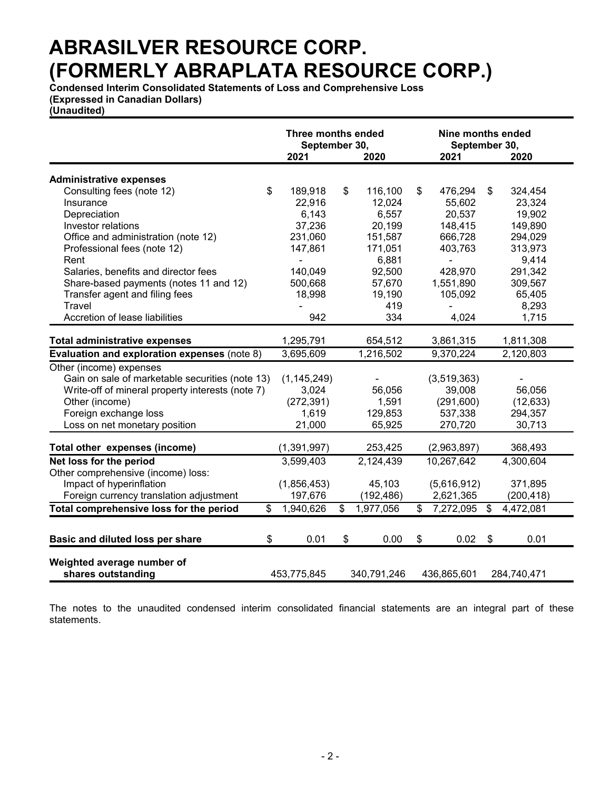**Condensed Interim Consolidated Statements of Loss and Comprehensive Loss (Expressed in Canadian Dollars)**

**(Unaudited)**

|                                                  | Three months ended<br>September 30, |                |             |    | Nine months ended<br>September 30, |                            |             |  |
|--------------------------------------------------|-------------------------------------|----------------|-------------|----|------------------------------------|----------------------------|-------------|--|
|                                                  | 2021                                |                | 2020        |    | 2021                               |                            | 2020        |  |
|                                                  |                                     |                |             |    |                                    |                            |             |  |
| <b>Administrative expenses</b>                   |                                     |                |             |    |                                    |                            |             |  |
| \$<br>Consulting fees (note 12)                  | 189,918                             | \$             | 116,100     | \$ | 476,294                            | $\$\$                      | 324,454     |  |
| Insurance                                        | 22,916                              |                | 12,024      |    | 55,602                             |                            | 23,324      |  |
| Depreciation                                     | 6,143                               |                | 6,557       |    | 20,537                             |                            | 19,902      |  |
| Investor relations                               | 37,236                              |                | 20,199      |    | 148,415                            |                            | 149,890     |  |
| Office and administration (note 12)              | 231,060                             |                | 151,587     |    | 666,728                            |                            | 294,029     |  |
| Professional fees (note 12)                      | 147,861                             |                | 171,051     |    | 403,763                            |                            | 313,973     |  |
| Rent                                             |                                     |                | 6,881       |    | ä,                                 |                            | 9,414       |  |
| Salaries, benefits and director fees             | 140,049                             |                | 92,500      |    | 428,970                            |                            | 291,342     |  |
| Share-based payments (notes 11 and 12)           | 500,668                             |                | 57,670      |    | 1,551,890                          |                            | 309,567     |  |
| Transfer agent and filing fees                   | 18,998                              |                | 19,190      |    | 105,092                            |                            | 65,405      |  |
| Travel                                           |                                     |                | 419         |    |                                    |                            | 8,293       |  |
| Accretion of lease liabilities                   | 942                                 |                | 334         |    | 4,024                              |                            | 1,715       |  |
|                                                  |                                     |                |             |    |                                    |                            |             |  |
| <b>Total administrative expenses</b>             | 1,295,791                           |                | 654,512     |    | 3,861,315                          |                            | 1,811,308   |  |
| Evaluation and exploration expenses (note 8)     | 3,695,609                           |                | 1,216,502   |    | 9,370,224                          |                            | 2,120,803   |  |
| Other (income) expenses                          |                                     |                |             |    |                                    |                            |             |  |
| Gain on sale of marketable securities (note 13)  | (1, 145, 249)                       |                |             |    | (3,519,363)                        |                            |             |  |
| Write-off of mineral property interests (note 7) | 3,024                               |                | 56,056      |    | 39,008                             |                            | 56,056      |  |
| Other (income)                                   | (272, 391)                          |                | 1,591       |    | (291, 600)                         |                            | (12, 633)   |  |
| Foreign exchange loss                            | 1,619                               |                | 129,853     |    | 537,338                            |                            | 294,357     |  |
| Loss on net monetary position                    | 21,000                              |                | 65,925      |    | 270,720                            |                            | 30,713      |  |
| Total other expenses (income)                    | (1, 391, 997)                       |                | 253,425     |    | (2,963,897)                        |                            | 368,493     |  |
| Net loss for the period                          | 3,599,403                           |                | 2,124,439   |    | 10,267,642                         |                            | 4,300,604   |  |
| Other comprehensive (income) loss:               |                                     |                |             |    |                                    |                            |             |  |
| Impact of hyperinflation                         | (1,856,453)                         |                | 45,103      |    | (5,616,912)                        |                            | 371,895     |  |
| Foreign currency translation adjustment          | 197,676                             |                | (192, 486)  |    | 2,621,365                          |                            | (200, 418)  |  |
| Total comprehensive loss for the period<br>\$    | 1,940,626                           | $\mathfrak{S}$ | 1,977,056   | \$ | 7,272,095                          | \$                         | 4,472,081   |  |
|                                                  |                                     |                |             |    |                                    |                            |             |  |
| \$<br><b>Basic and diluted loss per share</b>    | 0.01                                | \$             | 0.00        | \$ | 0.02                               | $\boldsymbol{\mathcal{F}}$ | 0.01        |  |
|                                                  |                                     |                |             |    |                                    |                            |             |  |
| Weighted average number of                       |                                     |                |             |    |                                    |                            |             |  |
| shares outstanding                               | 453,775,845                         |                | 340,791,246 |    | 436,865,601                        |                            | 284,740,471 |  |
|                                                  |                                     |                |             |    |                                    |                            |             |  |

The notes to the unaudited condensed interim consolidated financial statements are an integral part of these statements.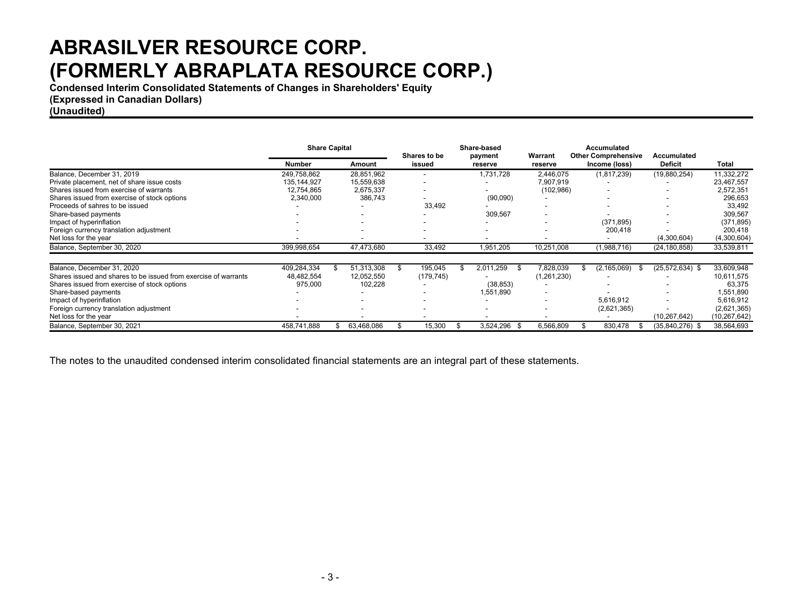**Condensed Interim Consolidated Statements of Changes in Shareholders' Equity**

**(Expressed in Canadian Dollars)**

**(Unaudited)**

|                                                                 | <b>Share Capital</b> |     | Shares to be |    | Share-based<br>payment   |  | Warrant          | Accumulated<br><b>Other Comprehensive</b> |  | Accumulated           |                   |                |
|-----------------------------------------------------------------|----------------------|-----|--------------|----|--------------------------|--|------------------|-------------------------------------------|--|-----------------------|-------------------|----------------|
|                                                                 | <b>Number</b>        |     | Amount       |    | issued                   |  | reserve          | reserve                                   |  | Income (loss)         | <b>Deficit</b>    | <b>Total</b>   |
| Balance, December 31, 2019                                      | 249,758,862          |     | 28,851,962   |    |                          |  | 1,731,728        | 2,446,075                                 |  | (1, 817, 239)         | (19,880,254)      | 11,332,272     |
| Private placement, net of share issue costs                     | 135.144.927          |     | 15,559,638   |    | $\overline{\phantom{a}}$ |  |                  | 7,907,919                                 |  |                       |                   | 23,467,557     |
| Shares issued from exercise of warrants                         | 12.754.865           |     | 2,675,337    |    |                          |  |                  | (102, 986)                                |  |                       |                   | 2,572,351      |
| Shares issued from exercise of stock options                    | 2,340,000            |     | 386,743      |    |                          |  | (90,090)         |                                           |  |                       |                   | 296,653        |
| Proceeds of sahres to be issued                                 |                      |     |              |    | 33,492                   |  |                  |                                           |  |                       |                   | 33,492         |
| Share-based payments                                            |                      |     |              |    |                          |  | 309,567          |                                           |  |                       |                   | 309,567        |
| Impact of hyperinflation                                        |                      |     |              |    |                          |  |                  |                                           |  | (371, 895)            |                   | (371, 895)     |
| Foreign currency translation adjustment                         |                      |     |              |    |                          |  |                  |                                           |  | 200,418               |                   | 200,418        |
| Net loss for the year                                           |                      |     |              |    |                          |  |                  |                                           |  |                       | (4,300,604)       | (4,300,604)    |
| Balance, September 30, 2020                                     | 399,998,654          |     | 47,473,680   |    | 33,492                   |  | 1,951,205        | 10,251,008                                |  | (1,988,716)           | (24, 180, 858)    | 33,539,811     |
| Balance. December 31, 2020                                      | 409,284,334          | \$. | 51,313,308   | \$ | 195,045                  |  | 2,011,259<br>£.  | 7,828,039                                 |  | (2, 165, 069)<br>- 35 | $(25,572,634)$ \$ | 33,609,948     |
| Shares issued and shares to be issued from exercise of warrants | 48,482,554           |     | 12,052,550   |    | (179, 745)               |  |                  | (1,261,230)                               |  |                       |                   | 10,611,575     |
| Shares issued from exercise of stock options                    | 975,000              |     | 102,228      |    |                          |  | (38, 853)        |                                           |  |                       |                   | 63,375         |
| Share-based payments                                            |                      |     |              |    |                          |  | 1,551,890        |                                           |  |                       |                   | 1,551,890      |
| Impact of hyperinflation                                        |                      |     |              |    |                          |  |                  |                                           |  | 5,616,912             |                   | 5,616,912      |
| Foreign currency translation adjustment                         |                      |     |              |    |                          |  |                  |                                           |  | (2,621,365)           |                   | (2,621,365)    |
| Net loss for the year                                           |                      |     |              |    |                          |  |                  |                                           |  |                       | (10,267,642)      | (10, 267, 642) |
| Balance, September 30, 2021                                     | 458,741,888          |     | 63,468,086   |    | 15,300                   |  | 3,524,296<br>-SS | 6,566,809                                 |  | 830,478               | $(35,840,276)$ \$ | 38,564,693     |

The notes to the unaudited condensed interim consolidated financial statements are an integral part of these statements.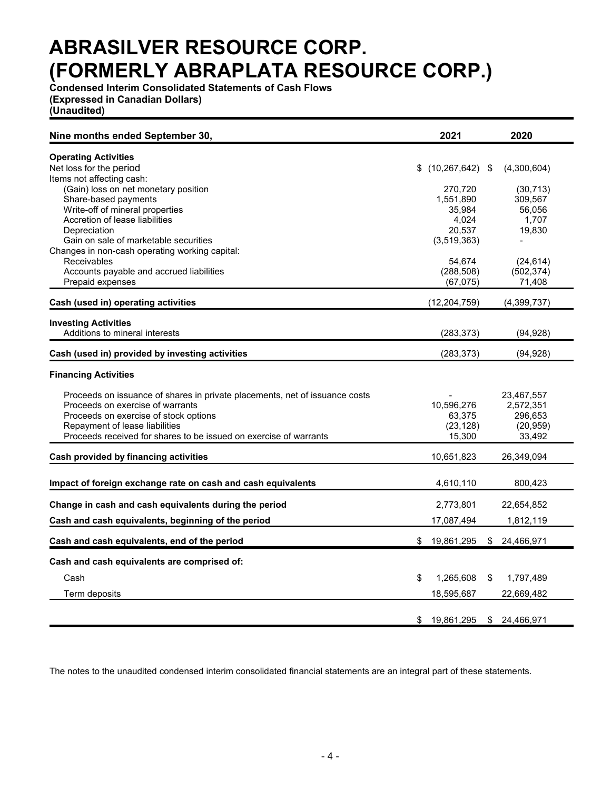**Condensed Interim Consolidated Statements of Cash Flows (Expressed in Canadian Dollars)**

**(Unaudited)**

| Nine months ended September 30,                                             |     | 2021                | 2020                    |
|-----------------------------------------------------------------------------|-----|---------------------|-------------------------|
| <b>Operating Activities</b>                                                 |     |                     |                         |
| Net loss for the period                                                     | \$. | $(10, 267, 642)$ \$ | (4,300,604)             |
| Items not affecting cash:                                                   |     |                     |                         |
| (Gain) loss on net monetary position                                        |     | 270,720             | (30, 713)               |
| Share-based payments                                                        |     | 1,551,890           | 309,567                 |
| Write-off of mineral properties                                             |     | 35,984              | 56,056                  |
| Accretion of lease liabilities                                              |     | 4,024               | 1,707                   |
| Depreciation                                                                |     | 20,537              | 19,830                  |
| Gain on sale of marketable securities                                       |     | (3,519,363)         |                         |
| Changes in non-cash operating working capital:<br>Receivables               |     | 54,674              |                         |
| Accounts payable and accrued liabilities                                    |     | (288, 508)          | (24, 614)<br>(502, 374) |
| Prepaid expenses                                                            |     | (67, 075)           | 71,408                  |
|                                                                             |     |                     |                         |
| Cash (used in) operating activities                                         |     | (12, 204, 759)      | (4,399,737)             |
| <b>Investing Activities</b>                                                 |     |                     |                         |
| Additions to mineral interests                                              |     | (283, 373)          | (94, 928)               |
|                                                                             |     |                     |                         |
| Cash (used in) provided by investing activities                             |     | (283, 373)          | (94,928)                |
| <b>Financing Activities</b>                                                 |     |                     |                         |
| Proceeds on issuance of shares in private placements, net of issuance costs |     |                     | 23,467,557              |
| Proceeds on exercise of warrants                                            |     | 10,596,276          | 2,572,351               |
| Proceeds on exercise of stock options                                       |     | 63,375              | 296,653                 |
| Repayment of lease liabilities                                              |     | (23, 128)           | (20, 959)               |
| Proceeds received for shares to be issued on exercise of warrants           |     | 15,300              | 33,492                  |
| <b>Cash provided by financing activities</b>                                |     | 10,651,823          | 26,349,094              |
|                                                                             |     |                     |                         |
| Impact of foreign exchange rate on cash and cash equivalents                |     | 4,610,110           | 800,423                 |
| Change in cash and cash equivalents during the period                       |     | 2,773,801           | 22,654,852              |
| Cash and cash equivalents, beginning of the period                          |     | 17,087,494          | 1,812,119               |
| Cash and cash equivalents, end of the period                                | \$  | 19,861,295          | \$ 24,466,971           |
| Cash and cash equivalents are comprised of:                                 |     |                     |                         |
| Cash                                                                        | \$  | 1,265,608           | \$<br>1,797,489         |
| Term deposits                                                               |     | 18,595,687          | 22,669,482              |
|                                                                             |     |                     |                         |
|                                                                             | \$  | 19,861,295          | \$ 24,466,971           |

The notes to the unaudited condensed interim consolidated financial statements are an integral part of these statements.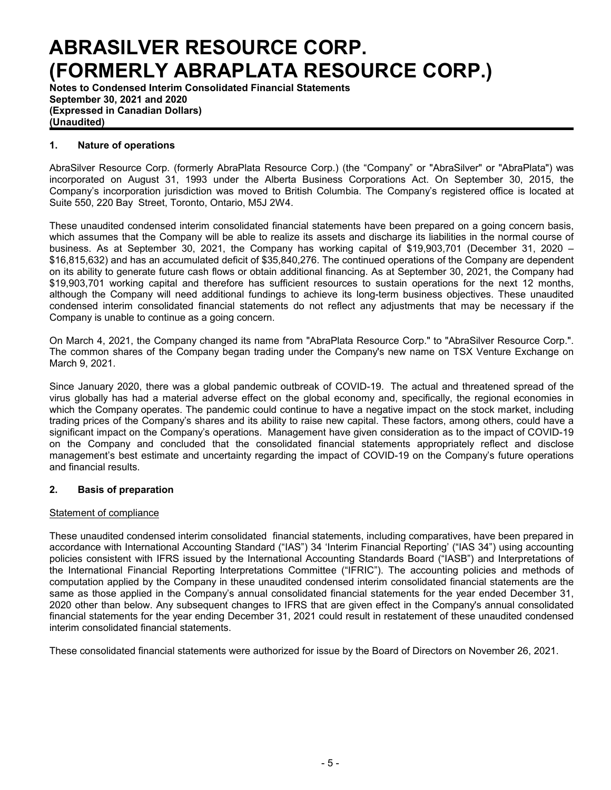**Notes to Condensed Interim Consolidated Financial Statements September 30, 2021 and 2020 (Expressed in Canadian Dollars) (Unaudited)**

### **1. Nature of operations**

AbraSilver Resource Corp. (formerly AbraPlata Resource Corp.) (the "Company" or "AbraSilver" or "AbraPlata") was incorporated on August 31, 1993 under the Alberta Business Corporations Act. On September 30, 2015, the Company's incorporation jurisdiction was moved to British Columbia. The Company's registered office is located at Suite 550, 220 Bay Street, Toronto, Ontario, M5J 2W4.

These unaudited condensed interim consolidated financial statements have been prepared on a going concern basis, which assumes that the Company will be able to realize its assets and discharge its liabilities in the normal course of business. As at September 30, 2021, the Company has working capital of \$19,903,701 (December 31, 2020 – \$16,815,632) and has an accumulated deficit of \$35,840,276. The continued operations of the Company are dependent on its ability to generate future cash flows or obtain additional financing. As at September 30, 2021, the Company had \$19,903,701 working capital and therefore has sufficient resources to sustain operations for the next 12 months, although the Company will need additional fundings to achieve its long-term business objectives. These unaudited condensed interim consolidated financial statements do not reflect any adjustments that may be necessary if the Company is unable to continue as a going concern.

On March 4, 2021, the Company changed its name from "AbraPlata Resource Corp." to "AbraSilver Resource Corp.". The common shares of the Company began trading under the Company's new name on TSX Venture Exchange on March 9, 2021.

Since January 2020, there was a global pandemic outbreak of COVID-19. The actual and threatened spread of the virus globally has had a material adverse effect on the global economy and, specifically, the regional economies in which the Company operates. The pandemic could continue to have a negative impact on the stock market, including trading prices of the Company's shares and its ability to raise new capital. These factors, among others, could have a significant impact on the Company's operations. Management have given consideration as to the impact of COVID-19 on the Company and concluded that the consolidated financial statements appropriately reflect and disclose management's best estimate and uncertainty regarding the impact of COVID-19 on the Company's future operations and financial results.

### **2. Basis of preparation**

### Statement of compliance

These unaudited condensed interim consolidated financial statements, including comparatives, have been prepared in accordance with International Accounting Standard ("IAS") 34 'Interim Financial Reporting' ("IAS 34") using accounting policies consistent with IFRS issued by the International Accounting Standards Board ("IASB") and Interpretations of the International Financial Reporting Interpretations Committee ("IFRIC"). The accounting policies and methods of computation applied by the Company in these unaudited condensed interim consolidated financial statements are the same as those applied in the Company's annual consolidated financial statements for the year ended December 31, 2020 other than below. Any subsequent changes to IFRS that are given effect in the Company's annual consolidated financial statements for the year ending December 31, 2021 could result in restatement of these unaudited condensed interim consolidated financial statements.

These consolidated financial statements were authorized for issue by the Board of Directors on November 26, 2021.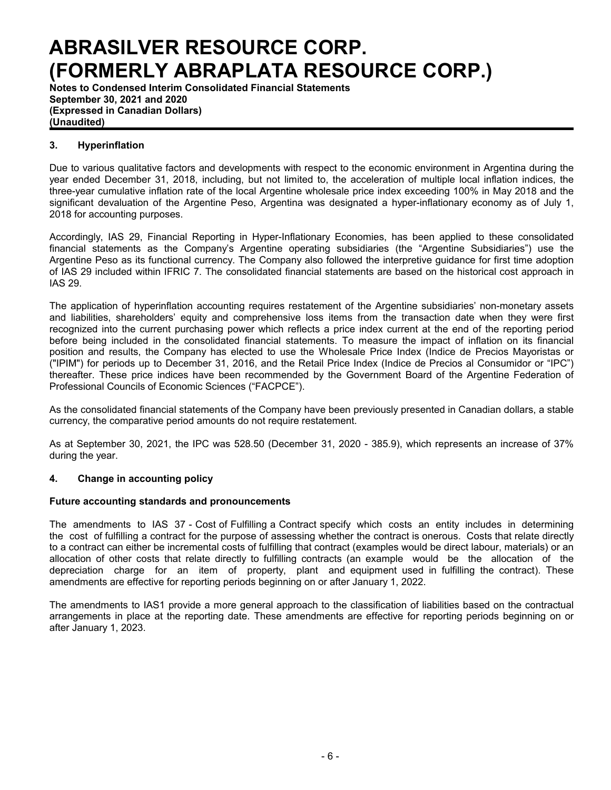**Notes to Condensed Interim Consolidated Financial Statements September 30, 2021 and 2020 (Expressed in Canadian Dollars) (Unaudited)**

## **3. Hyperinflation**

Due to various qualitative factors and developments with respect to the economic environment in Argentina during the year ended December 31, 2018, including, but not limited to, the acceleration of multiple local inflation indices, the three-year cumulative inflation rate of the local Argentine wholesale price index exceeding 100% in May 2018 and the significant devaluation of the Argentine Peso, Argentina was designated a hyper-inflationary economy as of July 1, 2018 for accounting purposes.

Accordingly, IAS 29, Financial Reporting in Hyper-Inflationary Economies, has been applied to these consolidated financial statements as the Company's Argentine operating subsidiaries (the "Argentine Subsidiaries") use the Argentine Peso as its functional currency. The Company also followed the interpretive guidance for first time adoption of IAS 29 included within IFRIC 7. The consolidated financial statements are based on the historical cost approach in IAS 29.

The application of hyperinflation accounting requires restatement of the Argentine subsidiaries' non-monetary assets and liabilities, shareholders' equity and comprehensive loss items from the transaction date when they were first recognized into the current purchasing power which reflects a price index current at the end of the reporting period before being included in the consolidated financial statements. To measure the impact of inflation on its financial position and results, the Company has elected to use the Wholesale Price Index (Indice de Precios Mayoristas or ("IPIM") for periods up to December 31, 2016, and the Retail Price Index (Indice de Precios al Consumidor or "IPC") thereafter. These price indices have been recommended by the Government Board of the Argentine Federation of Professional Councils of Economic Sciences ("FACPCE").

As the consolidated financial statements of the Company have been previously presented in Canadian dollars, a stable currency, the comparative period amounts do not require restatement.

As at September 30, 2021, the IPC was 528.50 (December 31, 2020 - 385.9), which represents an increase of 37% during the year.

### **4. Change in accounting policy**

#### **Future accounting standards and pronouncements**

The amendments to IAS 37 - Cost of Fulfilling a Contract specify which costs an entity includes in determining the cost of fulfilling a contract for the purpose of assessing whether the contract is onerous. Costs that relate directly to a contract can either be incremental costs of fulfilling that contract (examples would be direct labour, materials) or an allocation of other costs that relate directly to fulfilling contracts (an example would be the allocation of the depreciation charge for an item of property, plant and equipment used in fulfilling the contract). These amendments are effective for reporting periods beginning on or after January 1, 2022.

The amendments to IAS1 provide a more general approach to the classification of liabilities based on the contractual arrangements in place at the reporting date. These amendments are effective for reporting periods beginning on or after January 1, 2023.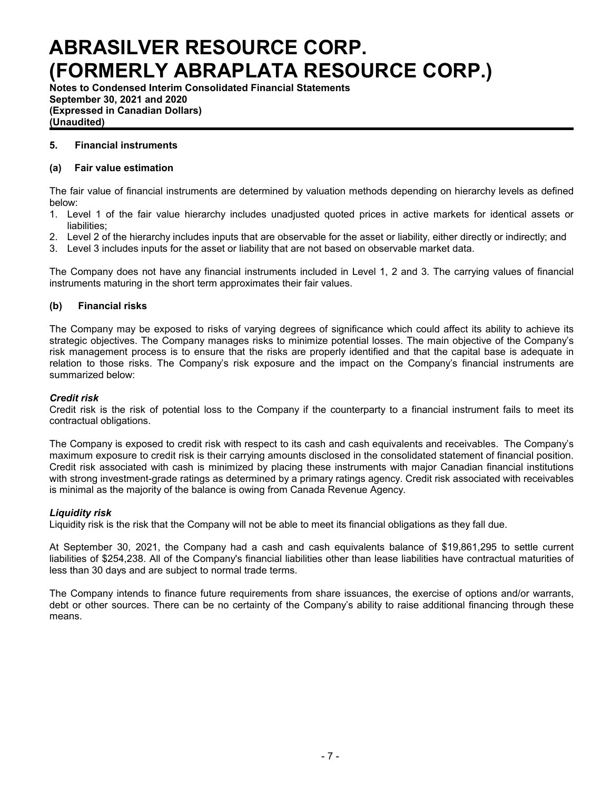**Notes to Condensed Interim Consolidated Financial Statements September 30, 2021 and 2020 (Expressed in Canadian Dollars) (Unaudited)**

### **5. Financial instruments**

### **(a) Fair value estimation**

The fair value of financial instruments are determined by valuation methods depending on hierarchy levels as defined below:

- 1. Level 1 of the fair value hierarchy includes unadjusted quoted prices in active markets for identical assets or liabilities;
- 2. Level 2 of the hierarchy includes inputs that are observable for the asset or liability, either directly or indirectly; and
- 3. Level 3 includes inputs for the asset or liability that are not based on observable market data.

The Company does not have any financial instruments included in Level 1, 2 and 3. The carrying values of financial instruments maturing in the short term approximates their fair values.

### **(b) Financial risks**

The Company may be exposed to risks of varying degrees of significance which could affect its ability to achieve its strategic objectives. The Company manages risks to minimize potential losses. The main objective of the Company's risk management process is to ensure that the risks are properly identified and that the capital base is adequate in relation to those risks. The Company's risk exposure and the impact on the Company's financial instruments are summarized below:

#### *Credit risk*

Credit risk is the risk of potential loss to the Company if the counterparty to a financial instrument fails to meet its contractual obligations.

The Company is exposed to credit risk with respect to its cash and cash equivalents and receivables. The Company's maximum exposure to credit risk is their carrying amounts disclosed in the consolidated statement of financial position. Credit risk associated with cash is minimized by placing these instruments with major Canadian financial institutions with strong investment-grade ratings as determined by a primary ratings agency. Credit risk associated with receivables is minimal as the majority of the balance is owing from Canada Revenue Agency.

#### *Liquidity risk*

Liquidity risk is the risk that the Company will not be able to meet its financial obligations as they fall due.

At September 30, 2021, the Company had a cash and cash equivalents balance of \$19,861,295 to settle current liabilities of \$254,238. All of the Company's financial liabilities other than lease liabilities have contractual maturities of less than 30 days and are subject to normal trade terms.

The Company intends to finance future requirements from share issuances, the exercise of options and/or warrants, debt or other sources. There can be no certainty of the Company's ability to raise additional financing through these means.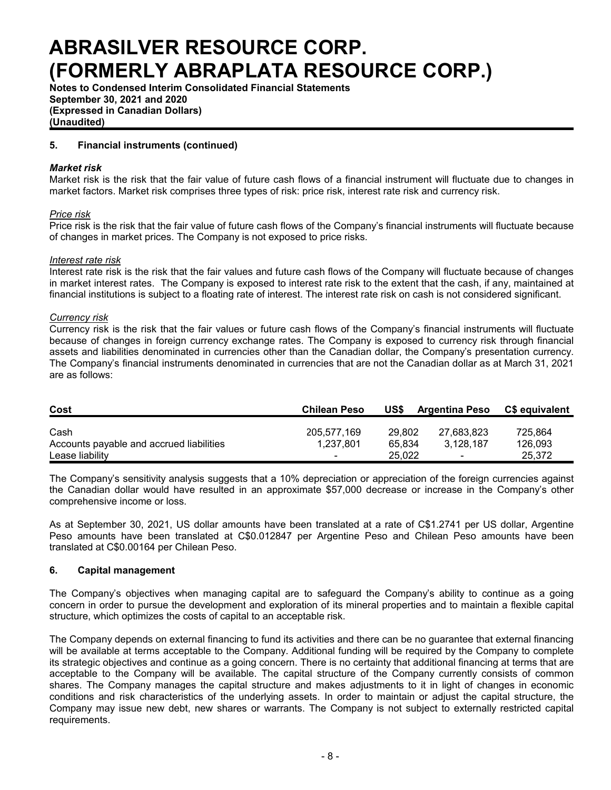**Notes to Condensed Interim Consolidated Financial Statements September 30, 2021 and 2020 (Expressed in Canadian Dollars) (Unaudited)**

### **5. Financial instruments (continued)**

#### *Market risk*

Market risk is the risk that the fair value of future cash flows of a financial instrument will fluctuate due to changes in market factors. Market risk comprises three types of risk: price risk, interest rate risk and currency risk.

#### *Price risk*

Price risk is the risk that the fair value of future cash flows of the Company's financial instruments will fluctuate because of changes in market prices. The Company is not exposed to price risks.

#### *Interest rate risk*

Interest rate risk is the risk that the fair values and future cash flows of the Company will fluctuate because of changes in market interest rates. The Company is exposed to interest rate risk to the extent that the cash, if any, maintained at financial institutions is subject to a floating rate of interest. The interest rate risk on cash is not considered significant.

#### *Currency risk*

Currency risk is the risk that the fair values or future cash flows of the Company's financial instruments will fluctuate because of changes in foreign currency exchange rates. The Company is exposed to currency risk through financial assets and liabilities denominated in currencies other than the Canadian dollar, the Company's presentation currency. The Company's financial instruments denominated in currencies that are not the Canadian dollar as at March 31, 2021 are as follows:

| Cost                                     | <b>Chilean Peso</b>      | US\$   | <b>Argentina Peso</b>    | C\$ equivalent |
|------------------------------------------|--------------------------|--------|--------------------------|----------------|
| Cash                                     | 205.577.169              | 29.802 | 27.683.823               | 725.864        |
| Accounts payable and accrued liabilities | 1,237,801                | 65.834 | 3.128.187                | 126,093        |
| Lease liability                          | $\overline{\phantom{0}}$ | 25.022 | $\overline{\phantom{0}}$ | 25.372         |

The Company's sensitivity analysis suggests that a 10% depreciation or appreciation of the foreign currencies against the Canadian dollar would have resulted in an approximate \$57,000 decrease or increase in the Company's other comprehensive income or loss.

As at September 30, 2021, US dollar amounts have been translated at a rate of C\$1.2741 per US dollar, Argentine Peso amounts have been translated at C\$0.012847 per Argentine Peso and Chilean Peso amounts have been translated at C\$0.00164 per Chilean Peso.

#### **6. Capital management**

The Company's objectives when managing capital are to safeguard the Company's ability to continue as a going concern in order to pursue the development and exploration of its mineral properties and to maintain a flexible capital structure, which optimizes the costs of capital to an acceptable risk.

The Company depends on external financing to fund its activities and there can be no guarantee that external financing will be available at terms acceptable to the Company. Additional funding will be required by the Company to complete its strategic objectives and continue as a going concern. There is no certainty that additional financing at terms that are acceptable to the Company will be available. The capital structure of the Company currently consists of common shares. The Company manages the capital structure and makes adjustments to it in light of changes in economic conditions and risk characteristics of the underlying assets. In order to maintain or adjust the capital structure, the Company may issue new debt, new shares or warrants. The Company is not subject to externally restricted capital requirements.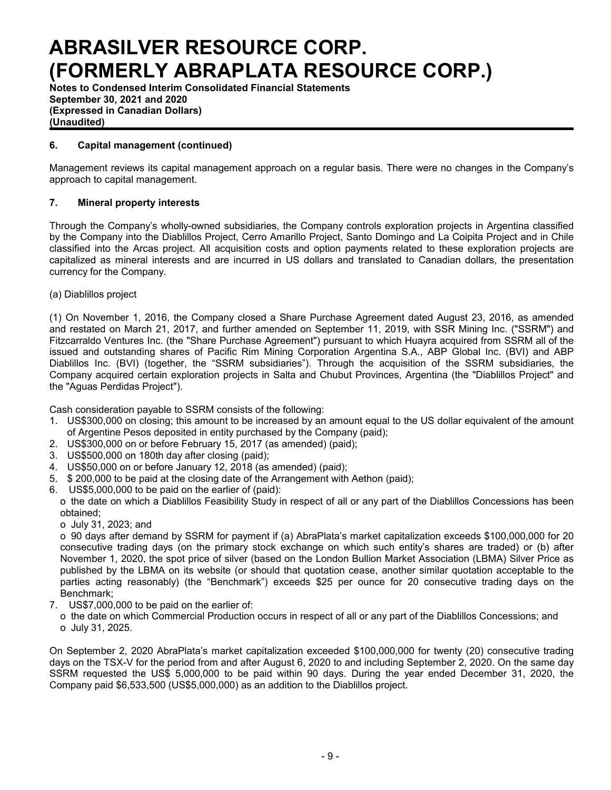**Notes to Condensed Interim Consolidated Financial Statements September 30, 2021 and 2020 (Expressed in Canadian Dollars) (Unaudited)**

## **6. Capital management (continued)**

Management reviews its capital management approach on a regular basis. There were no changes in the Company's approach to capital management.

### **7. Mineral property interests**

Through the Company's wholly-owned subsidiaries, the Company controls exploration projects in Argentina classified by the Company into the Diablillos Project, Cerro Amarillo Project, Santo Domingo and La Coipita Project and in Chile classified into the Arcas project. All acquisition costs and option payments related to these exploration projects are capitalized as mineral interests and are incurred in US dollars and translated to Canadian dollars, the presentation currency for the Company.

(a) Diablillos project

(1) On November 1, 2016, the Company closed a Share Purchase Agreement dated August 23, 2016, as amended and restated on March 21, 2017, and further amended on September 11, 2019, with SSR Mining Inc. ("SSRM") and Fitzcarraldo Ventures Inc. (the "Share Purchase Agreement") pursuant to which Huayra acquired from SSRM all of the issued and outstanding shares of Pacific Rim Mining Corporation Argentina S.A., ABP Global Inc. (BVI) and ABP Diablillos Inc. (BVI) (together, the "SSRM subsidiaries"). Through the acquisition of the SSRM subsidiaries, the Company acquired certain exploration projects in Salta and Chubut Provinces, Argentina (the "Diablillos Project" and the "Aguas Perdidas Project").

Cash consideration payable to SSRM consists of the following:

- 1. US\$300,000 on closing; this amount to be increased by an amount equal to the US dollar equivalent of the amount of Argentine Pesos deposited in entity purchased by the Company (paid);
- 2. US\$300,000 on or before February 15, 2017 (as amended) (paid);
- 3. US\$500,000 on 180th day after closing (paid);
- 4. US\$50,000 on or before January 12, 2018 (as amended) (paid);
- 5. \$ 200,000 to be paid at the closing date of the Arrangement with Aethon (paid);
- 6. US\$5,000,000 to be paid on the earlier of (paid):
- o the date on which a Diablillos Feasibility Study in respect of all or any part of the Diablillos Concessions has been obtained;
	- o July 31, 2023; and

o 90 days after demand by SSRM for payment if (a) AbraPlata's market capitalization exceeds \$100,000,000 for 20 consecutive trading days (on the primary stock exchange on which such entity's shares are traded) or (b) after November 1, 2020, the spot price of silver (based on the London Bullion Market Association (LBMA) Silver Price as published by the LBMA on its website (or should that quotation cease, another similar quotation acceptable to the parties acting reasonably) (the "Benchmark") exceeds \$25 per ounce for 20 consecutive trading days on the Benchmark;

- 7. US\$7,000,000 to be paid on the earlier of:
	- o the date on which Commercial Production occurs in respect of all or any part of the Diablillos Concessions; and o July 31, 2025.

On September 2, 2020 AbraPlata's market capitalization exceeded \$100,000,000 for twenty (20) consecutive trading days on the TSX-V for the period from and after August 6, 2020 to and including September 2, 2020. On the same day SSRM requested the US\$ 5,000,000 to be paid within 90 days. During the year ended December 31, 2020, the Company paid \$6,533,500 (US\$5,000,000) as an addition to the Diablillos project.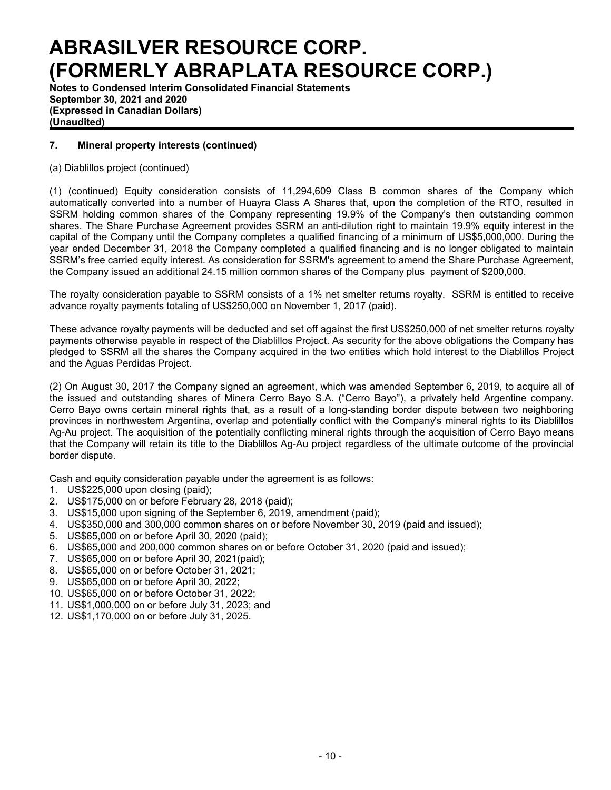**Notes to Condensed Interim Consolidated Financial Statements September 30, 2021 and 2020 (Expressed in Canadian Dollars) (Unaudited)**

## **7. Mineral property interests (continued)**

(a) Diablillos project (continued)

(1) (continued) Equity consideration consists of 11,294,609 Class B common shares of the Company which automatically converted into a number of Huayra Class A Shares that, upon the completion of the RTO, resulted in SSRM holding common shares of the Company representing 19.9% of the Company's then outstanding common shares. The Share Purchase Agreement provides SSRM an anti-dilution right to maintain 19.9% equity interest in the capital of the Company until the Company completes a qualified financing of a minimum of US\$5,000,000. During the year ended December 31, 2018 the Company completed a qualified financing and is no longer obligated to maintain SSRM's free carried equity interest. As consideration for SSRM's agreement to amend the Share Purchase Agreement, the Company issued an additional 24.15 million common shares of the Company plus payment of \$200,000.

The royalty consideration payable to SSRM consists of a 1% net smelter returns royalty. SSRM is entitled to receive advance royalty payments totaling of US\$250,000 on November 1, 2017 (paid).

These advance royalty payments will be deducted and set off against the first US\$250,000 of net smelter returns royalty payments otherwise payable in respect of the Diablillos Project. As security for the above obligations the Company has pledged to SSRM all the shares the Company acquired in the two entities which hold interest to the Diablillos Project and the Aguas Perdidas Project.

(2) On August 30, 2017 the Company signed an agreement, which was amended September 6, 2019, to acquire all of the issued and outstanding shares of Minera Cerro Bayo S.A. ("Cerro Bayo"), a privately held Argentine company. Cerro Bayo owns certain mineral rights that, as a result of a long-standing border dispute between two neighboring provinces in northwestern Argentina, overlap and potentially conflict with the Company's mineral rights to its Diablillos Ag-Au project. The acquisition of the potentially conflicting mineral rights through the acquisition of Cerro Bayo means that the Company will retain its title to the Diablillos Ag-Au project regardless of the ultimate outcome of the provincial border dispute.

Cash and equity consideration payable under the agreement is as follows:

- 1. US\$225,000 upon closing (paid);
- 2. US\$175,000 on or before February 28, 2018 (paid);
- 3. US\$15,000 upon signing of the September 6, 2019, amendment (paid);
- 4. US\$350,000 and 300,000 common shares on or before November 30, 2019 (paid and issued);
- 5. US\$65,000 on or before April 30, 2020 (paid);
- 6. US\$65,000 and 200,000 common shares on or before October 31, 2020 (paid and issued);
- 7. US\$65,000 on or before April 30, 2021(paid);
- 8. US\$65,000 on or before October 31, 2021;
- 9. US\$65,000 on or before April 30, 2022;
- 10. US\$65,000 on or before October 31, 2022;
- 11. US\$1,000,000 on or before July 31, 2023; and
- 12. US\$1,170,000 on or before July 31, 2025.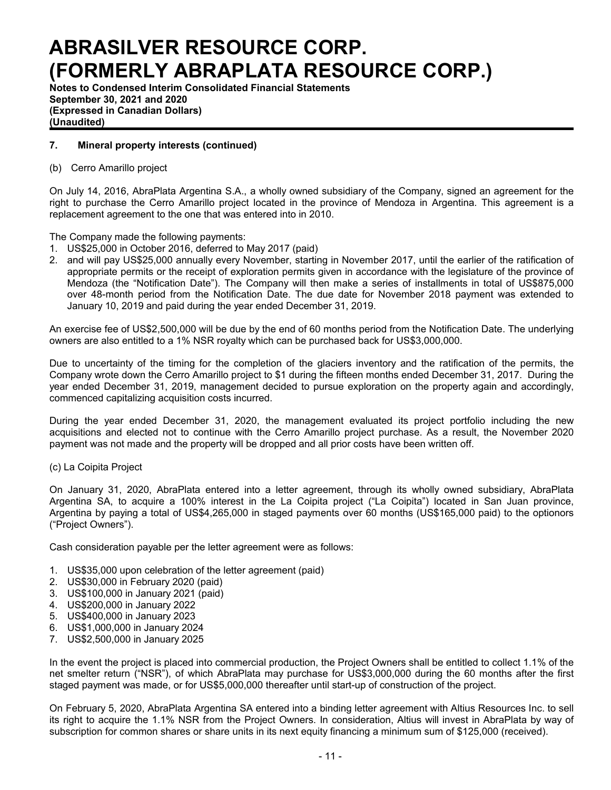**Notes to Condensed Interim Consolidated Financial Statements September 30, 2021 and 2020 (Expressed in Canadian Dollars) (Unaudited)**

### **7. Mineral property interests (continued)**

#### (b) Cerro Amarillo project

On July 14, 2016, AbraPlata Argentina S.A., a wholly owned subsidiary of the Company, signed an agreement for the right to purchase the Cerro Amarillo project located in the province of Mendoza in Argentina. This agreement is a replacement agreement to the one that was entered into in 2010.

The Company made the following payments:

- 1. US\$25,000 in October 2016, deferred to May 2017 (paid)
- 2. and will pay US\$25,000 annually every November, starting in November 2017, until the earlier of the ratification of appropriate permits or the receipt of exploration permits given in accordance with the legislature of the province of Mendoza (the "Notification Date"). The Company will then make a series of installments in total of US\$875,000 over 48-month period from the Notification Date. The due date for November 2018 payment was extended to January 10, 2019 and paid during the year ended December 31, 2019.

An exercise fee of US\$2,500,000 will be due by the end of 60 months period from the Notification Date. The underlying owners are also entitled to a 1% NSR royalty which can be purchased back for US\$3,000,000.

Due to uncertainty of the timing for the completion of the glaciers inventory and the ratification of the permits, the Company wrote down the Cerro Amarillo project to \$1 during the fifteen months ended December 31, 2017. During the year ended December 31, 2019, management decided to pursue exploration on the property again and accordingly, commenced capitalizing acquisition costs incurred.

During the year ended December 31, 2020, the management evaluated its project portfolio including the new acquisitions and elected not to continue with the Cerro Amarillo project purchase. As a result, the November 2020 payment was not made and the property will be dropped and all prior costs have been written off.

#### (c) La Coipita Project

On January 31, 2020, AbraPlata entered into a letter agreement, through its wholly owned subsidiary, AbraPlata Argentina SA, to acquire a 100% interest in the La Coipita project ("La Coipita") located in San Juan province, Argentina by paying a total of US\$4,265,000 in staged payments over 60 months (US\$165,000 paid) to the optionors ("Project Owners").

Cash consideration payable per the letter agreement were as follows:

- 1. US\$35,000 upon celebration of the letter agreement (paid)
- 2. US\$30,000 in February 2020 (paid)
- 3. US\$100,000 in January 2021 (paid)
- 4. US\$200,000 in January 2022
- 5. US\$400,000 in January 2023
- 6. US\$1,000,000 in January 2024
- 7. US\$2,500,000 in January 2025

In the event the project is placed into commercial production, the Project Owners shall be entitled to collect 1.1% of the net smelter return ("NSR"), of which AbraPlata may purchase for US\$3,000,000 during the 60 months after the first staged payment was made, or for US\$5,000,000 thereafter until start-up of construction of the project.

On February 5, 2020, AbraPlata Argentina SA entered into a binding letter agreement with Altius Resources Inc. to sell its right to acquire the 1.1% NSR from the Project Owners. In consideration, Altius will invest in AbraPlata by way of subscription for common shares or share units in its next equity financing a minimum sum of \$125,000 (received).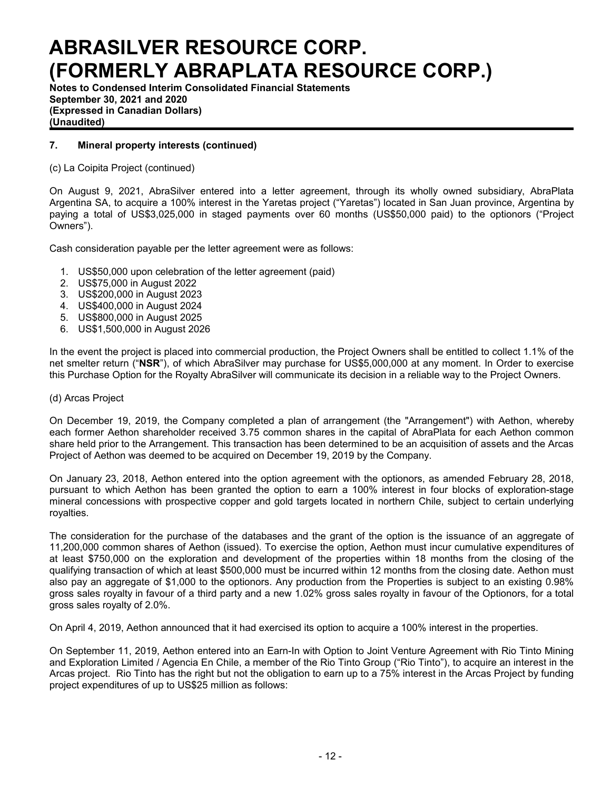**Notes to Condensed Interim Consolidated Financial Statements September 30, 2021 and 2020 (Expressed in Canadian Dollars) (Unaudited)**

## **7. Mineral property interests (continued)**

(c) La Coipita Project (continued)

On August 9, 2021, AbraSilver entered into a letter agreement, through its wholly owned subsidiary, AbraPlata Argentina SA, to acquire a 100% interest in the Yaretas project ("Yaretas") located in San Juan province, Argentina by paying a total of US\$3,025,000 in staged payments over 60 months (US\$50,000 paid) to the optionors ("Project Owners").

Cash consideration payable per the letter agreement were as follows:

- 1. US\$50,000 upon celebration of the letter agreement (paid)
- 2. US\$75,000 in August 2022
- 3. US\$200,000 in August 2023
- 4. US\$400,000 in August 2024
- 5. US\$800,000 in August 2025
- 6. US\$1,500,000 in August 2026

In the event the project is placed into commercial production, the Project Owners shall be entitled to collect 1.1% of the net smelter return ("**NSR**"), of which AbraSilver may purchase for US\$5,000,000 at any moment. In Order to exercise this Purchase Option for the Royalty AbraSilver will communicate its decision in a reliable way to the Project Owners.

#### (d) Arcas Project

On December 19, 2019, the Company completed a plan of arrangement (the "Arrangement") with Aethon, whereby each former Aethon shareholder received 3.75 common shares in the capital of AbraPlata for each Aethon common share held prior to the Arrangement. This transaction has been determined to be an acquisition of assets and the Arcas Project of Aethon was deemed to be acquired on December 19, 2019 by the Company.

On January 23, 2018, Aethon entered into the option agreement with the optionors, as amended February 28, 2018, pursuant to which Aethon has been granted the option to earn a 100% interest in four blocks of exploration-stage mineral concessions with prospective copper and gold targets located in northern Chile, subject to certain underlying royalties.

The consideration for the purchase of the databases and the grant of the option is the issuance of an aggregate of 11,200,000 common shares of Aethon (issued). To exercise the option, Aethon must incur cumulative expenditures of at least \$750,000 on the exploration and development of the properties within 18 months from the closing of the qualifying transaction of which at least \$500,000 must be incurred within 12 months from the closing date. Aethon must also pay an aggregate of \$1,000 to the optionors. Any production from the Properties is subject to an existing 0.98% gross sales royalty in favour of a third party and a new 1.02% gross sales royalty in favour of the Optionors, for a total gross sales royalty of 2.0%.

On April 4, 2019, Aethon announced that it had exercised its option to acquire a 100% interest in the properties.

On September 11, 2019, Aethon entered into an Earn-In with Option to Joint Venture Agreement with Rio Tinto Mining and Exploration Limited / Agencia En Chile, a member of the Rio Tinto Group ("Rio Tinto"), to acquire an interest in the Arcas project. Rio Tinto has the right but not the obligation to earn up to a 75% interest in the Arcas Project by funding project expenditures of up to US\$25 million as follows: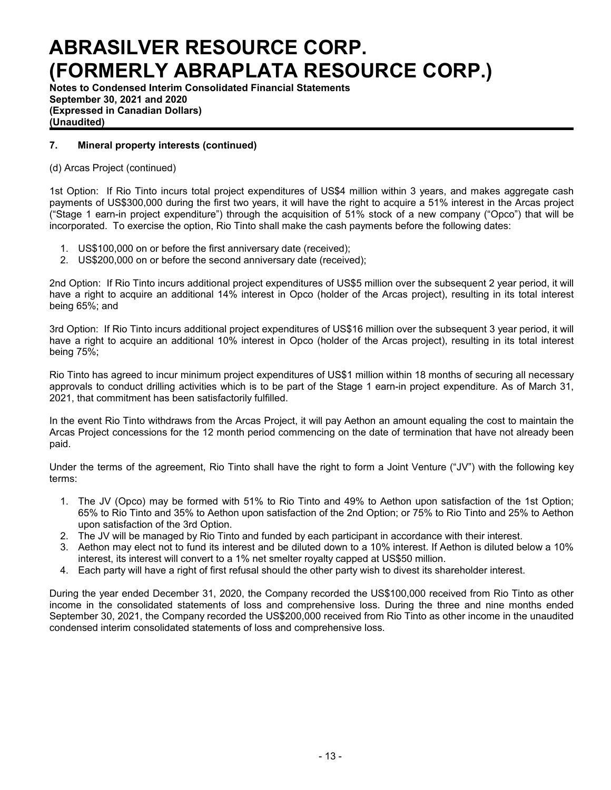**Notes to Condensed Interim Consolidated Financial Statements September 30, 2021 and 2020 (Expressed in Canadian Dollars) (Unaudited)**

## **7. Mineral property interests (continued)**

### (d) Arcas Project (continued)

1st Option: If Rio Tinto incurs total project expenditures of US\$4 million within 3 years, and makes aggregate cash payments of US\$300,000 during the first two years, it will have the right to acquire a 51% interest in the Arcas project ("Stage 1 earn-in project expenditure") through the acquisition of 51% stock of a new company ("Opco") that will be incorporated. To exercise the option, Rio Tinto shall make the cash payments before the following dates:

- 1. US\$100,000 on or before the first anniversary date (received);
- 2. US\$200,000 on or before the second anniversary date (received);

2nd Option: If Rio Tinto incurs additional project expenditures of US\$5 million over the subsequent 2 year period, it will have a right to acquire an additional 14% interest in Opco (holder of the Arcas project), resulting in its total interest being 65%; and

3rd Option: If Rio Tinto incurs additional project expenditures of US\$16 million over the subsequent 3 year period, it will have a right to acquire an additional 10% interest in Opco (holder of the Arcas project), resulting in its total interest being 75%;

Rio Tinto has agreed to incur minimum project expenditures of US\$1 million within 18 months of securing all necessary approvals to conduct drilling activities which is to be part of the Stage 1 earn-in project expenditure. As of March 31, 2021, that commitment has been satisfactorily fulfilled.

In the event Rio Tinto withdraws from the Arcas Project, it will pay Aethon an amount equaling the cost to maintain the Arcas Project concessions for the 12 month period commencing on the date of termination that have not already been paid.

Under the terms of the agreement, Rio Tinto shall have the right to form a Joint Venture ("JV") with the following key terms:

- 1. The JV (Opco) may be formed with 51% to Rio Tinto and 49% to Aethon upon satisfaction of the 1st Option; 65% to Rio Tinto and 35% to Aethon upon satisfaction of the 2nd Option; or 75% to Rio Tinto and 25% to Aethon upon satisfaction of the 3rd Option.
- 2. The JV will be managed by Rio Tinto and funded by each participant in accordance with their interest.
- 3. Aethon may elect not to fund its interest and be diluted down to a 10% interest. If Aethon is diluted below a 10% interest, its interest will convert to a 1% net smelter royalty capped at US\$50 million.
- 4. Each party will have a right of first refusal should the other party wish to divest its shareholder interest.

During the year ended December 31, 2020, the Company recorded the US\$100,000 received from Rio Tinto as other income in the consolidated statements of loss and comprehensive loss. During the three and nine months ended September 30, 2021, the Company recorded the US\$200,000 received from Rio Tinto as other income in the unaudited condensed interim consolidated statements of loss and comprehensive loss.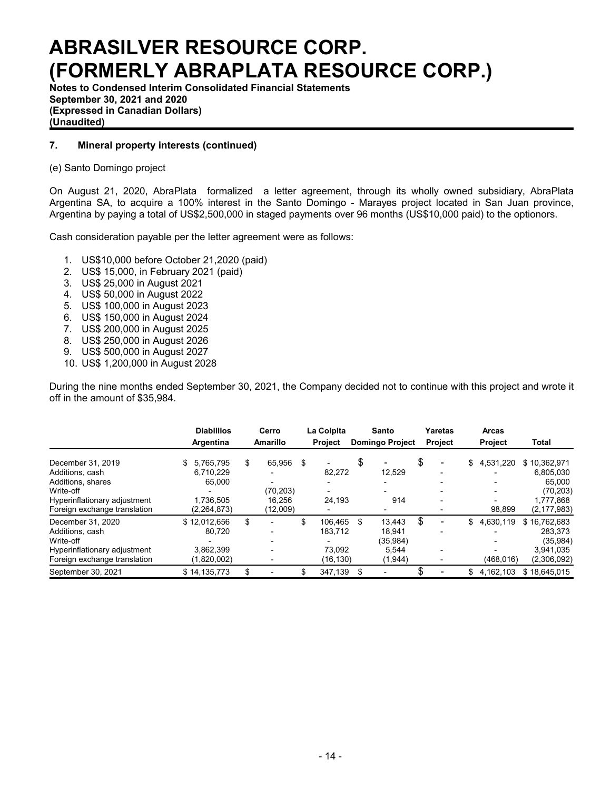**Notes to Condensed Interim Consolidated Financial Statements September 30, 2021 and 2020 (Expressed in Canadian Dollars) (Unaudited)**

### **7. Mineral property interests (continued)**

#### (e) Santo Domingo project

On August 21, 2020, AbraPlata formalized a letter agreement, through its wholly owned subsidiary, AbraPlata Argentina SA, to acquire a 100% interest in the Santo Domingo - Marayes project located in San Juan province, Argentina by paying a total of US\$2,500,000 in staged payments over 96 months (US\$10,000 paid) to the optionors.

Cash consideration payable per the letter agreement were as follows:

- 1. US\$10,000 before October 21,2020 (paid)
- 2. US\$ 15,000, in February 2021 (paid)
- 3. US\$ 25,000 in August 2021
- 4. US\$ 50,000 in August 2022
- 5. US\$ 100,000 in August 2023
- 6. US\$ 150,000 in August 2024
- 7. US\$ 200,000 in August 2025
- 8. US\$ 250,000 in August 2026
- 9. US\$ 500,000 in August 2027
- 10. US\$ 1,200,000 in August 2028

During the nine months ended September 30, 2021, the Company decided not to continue with this project and wrote it off in the amount of \$35,984.

|                                                                                                                                        | <b>Diablillos</b><br>Argentina                                       | Cerro<br><b>Amarillo</b>                       | La Coipita<br><b>Project</b>                   | <b>Santo</b><br><b>Domingo Project</b>                  |    | Yaretas<br><b>Project</b> | <b>Arcas</b><br><b>Project</b> | Total                                                                          |
|----------------------------------------------------------------------------------------------------------------------------------------|----------------------------------------------------------------------|------------------------------------------------|------------------------------------------------|---------------------------------------------------------|----|---------------------------|--------------------------------|--------------------------------------------------------------------------------|
| December 31, 2019<br>Additions, cash<br>Additions, shares<br>Write-off<br>Hyperinflationary adjustment<br>Foreign exchange translation | 5.765.795<br>\$<br>6,710,229<br>65.000<br>1.736.505<br>(2, 264, 873) | \$<br>65.956<br>(70.203)<br>16,256<br>(12,009) | \$<br>82,272<br>24,193                         | \$<br>12,529<br>914                                     | \$ | -                         | \$<br>4,531,220<br>98.899      | \$10.362.971<br>6,805,030<br>65.000<br>(70, 203)<br>1,777,868<br>(2, 177, 983) |
| December 31, 2020<br>Additions, cash<br>Write-off<br>Hyperinflationary adjustment<br>Foreign exchange translation                      | \$12.012.656<br>80.720<br>3.862.399<br>(1,820,002)                   | \$                                             | \$<br>106.465<br>183.712<br>73.092<br>(16,130) | \$<br>13.443<br>18.941<br>(35, 984)<br>5,544<br>(1,944) | S  |                           | \$<br>4.630.119<br>(468.016)   | \$16.762.683<br>283.373<br>(35,984)<br>3,941,035<br>(2,306,092)                |
| September 30, 2021                                                                                                                     | \$14.135.773                                                         | \$                                             | \$<br>347,139                                  | \$                                                      |    |                           | \$<br>4.162.103                | \$18.645.015                                                                   |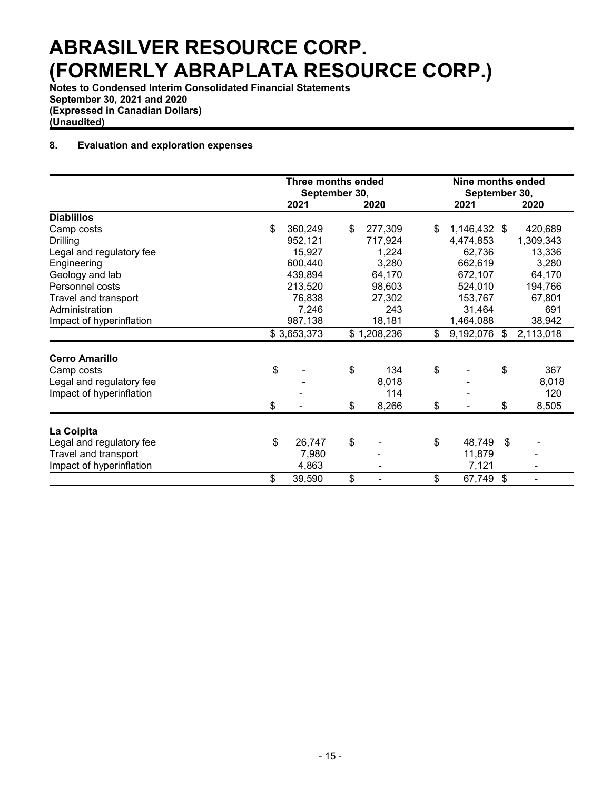**Notes to Condensed Interim Consolidated Financial Statements September 30, 2021 and 2020 (Expressed in Canadian Dollars) (Unaudited)**

### **8. Evaluation and exploration expenses**

|                          | <b>Three months ended</b><br>September 30, |             |    |              | Nine months ended<br>September 30, |                           |              |
|--------------------------|--------------------------------------------|-------------|----|--------------|------------------------------------|---------------------------|--------------|
|                          |                                            | 2021        |    | 2020         | 2021                               |                           | 2020         |
| <b>Diablillos</b>        |                                            |             |    |              |                                    |                           |              |
| Camp costs               | \$                                         | 360,249     | \$ | 277,309      | \$<br>1,146,432 \$                 |                           | 420,689      |
| Drilling                 |                                            | 952,121     |    | 717,924      | 4,474,853                          |                           | 1,309,343    |
| Legal and regulatory fee |                                            | 15,927      |    | 1,224        | 62,736                             |                           | 13,336       |
| Engineering              |                                            | 600,440     |    | 3,280        | 662,619                            |                           | 3,280        |
| Geology and lab          |                                            | 439,894     |    | 64,170       | 672,107                            |                           | 64,170       |
| Personnel costs          |                                            | 213,520     |    | 98,603       | 524,010                            |                           | 194,766      |
| Travel and transport     |                                            | 76,838      |    | 27,302       | 153,767                            |                           | 67,801       |
| Administration           |                                            | 7,246       |    | 243          | 31,464                             |                           | 691          |
| Impact of hyperinflation |                                            | 987,138     |    | 18,181       | 1,464,088                          |                           | 38,942       |
|                          |                                            | \$3,653,373 |    | \$1,208,236  | \$<br>9,192,076                    | \$                        | 2,113,018    |
| <b>Cerro Amarillo</b>    |                                            |             |    |              |                                    |                           |              |
|                          | \$                                         |             | \$ | 134          | \$                                 | \$                        | 367          |
| Camp costs               |                                            |             |    |              |                                    |                           |              |
| Legal and regulatory fee |                                            |             |    | 8,018<br>114 |                                    |                           | 8,018<br>120 |
| Impact of hyperinflation |                                            |             |    |              |                                    |                           |              |
|                          | \$                                         |             | \$ | 8,266        | \$                                 | \$                        | 8,505        |
| La Coipita               |                                            |             |    |              |                                    |                           |              |
| Legal and regulatory fee | \$                                         | 26,747      | \$ |              | \$<br>48,749                       | \$                        |              |
| Travel and transport     |                                            | 7,980       |    |              | 11,879                             |                           |              |
| Impact of hyperinflation |                                            | 4,863       |    |              | 7,121                              |                           |              |
|                          | \$                                         | 39,590      | \$ |              | \$<br>67,749                       | $\boldsymbol{\mathsf{s}}$ |              |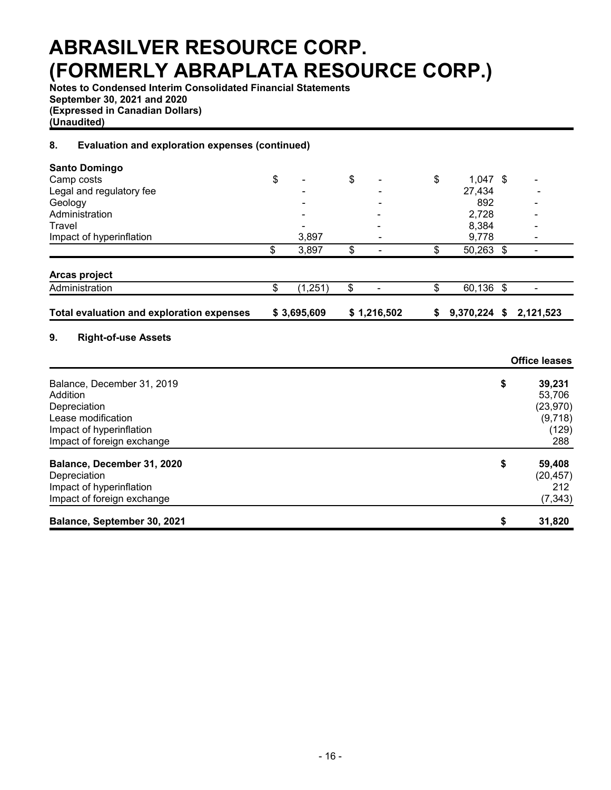**Notes to Condensed Interim Consolidated Financial Statements September 30, 2021 and 2020 (Expressed in Canadian Dollars) (Unaudited)**

### **8. Evaluation and exploration expenses (continued)**

| <b>Santo Domingo</b>                                                                                                                   |                |                                |    |              |                                                                |
|----------------------------------------------------------------------------------------------------------------------------------------|----------------|--------------------------------|----|--------------|----------------------------------------------------------------|
| Camp costs                                                                                                                             | \$             | \$                             | \$ | $1,047$ \$   |                                                                |
| Legal and regulatory fee                                                                                                               |                |                                |    | 27,434       |                                                                |
| Geology                                                                                                                                |                |                                |    | 892          |                                                                |
| Administration                                                                                                                         |                |                                |    | 2,728        |                                                                |
| Travel                                                                                                                                 |                |                                |    | 8,384        |                                                                |
| Impact of hyperinflation                                                                                                               | 3,897          |                                |    | 9,778        |                                                                |
|                                                                                                                                        | \$<br>3,897    | \$                             | \$ | 50,263 \$    |                                                                |
| Arcas project                                                                                                                          |                |                                |    |              |                                                                |
| Administration                                                                                                                         | \$<br>(1, 251) | \$<br>$\overline{\phantom{0}}$ | \$ | 60,136 \$    | ۰                                                              |
| <b>Total evaluation and exploration expenses</b>                                                                                       | \$3,695,609    | \$1,216,502                    | S  | 9,370,224 \$ | 2,121,523                                                      |
| 9.<br><b>Right-of-use Assets</b>                                                                                                       |                |                                |    |              | <b>Office leases</b>                                           |
| Balance, December 31, 2019<br>Addition<br>Depreciation<br>Lease modification<br>Impact of hyperinflation<br>Impact of foreign exchange |                |                                |    |              | \$<br>39,231<br>53,706<br>(23, 970)<br>(9,718)<br>(129)<br>288 |
| Balance, December 31, 2020<br>Depreciation<br>Impact of hyperinflation<br>Impact of foreign exchange                                   |                |                                |    |              | \$<br>59,408<br>(20, 457)<br>212<br>(7, 343)                   |
| Balance, September 30, 2021                                                                                                            |                |                                |    |              | \$<br>31,820                                                   |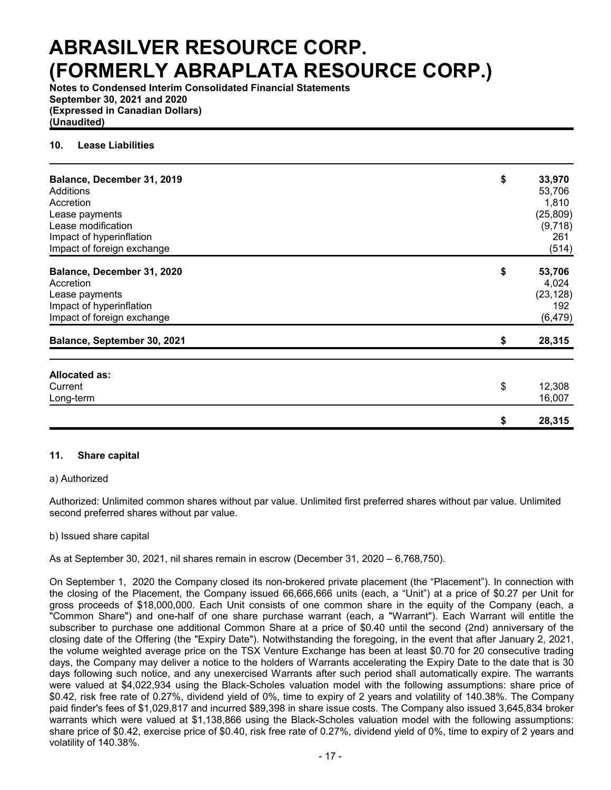**Notes to Condensed Interim Consolidated Financial Statements September 30, 2021 and 2020 (Expressed in Canadian Dollars) (Unaudited)**

#### **10. Lease Liabilities**

| Balance, December 31, 2019<br>Additions<br>Accretion<br>Lease payments<br>Lease modification<br>Impact of hyperinflation<br>Impact of foreign exchange | \$ | 33,970<br>53,706<br>1,810<br>(25, 809)<br>(9,718)<br>261<br>(514) |
|--------------------------------------------------------------------------------------------------------------------------------------------------------|----|-------------------------------------------------------------------|
| Balance, December 31, 2020<br>Accretion<br>Lease payments<br>Impact of hyperinflation<br>Impact of foreign exchange                                    | \$ | 53,706<br>4,024<br>(23, 128)<br>192<br>(6, 479)                   |
| Balance, September 30, 2021                                                                                                                            | S  | 28,315                                                            |
| <b>Allocated as:</b><br>Current<br>Long-term                                                                                                           | \$ | 12,308<br>16,007                                                  |
|                                                                                                                                                        | \$ | 28,315                                                            |

#### **11. Share capital**

#### a) Authorized

Authorized: Unlimited common shares without par value. Unlimited first preferred shares without par value. Unlimited second preferred shares without par value.

#### b) Issued share capital

As at September 30, 2021, nil shares remain in escrow (December 31, 2020 – 6,768,750).

On September 1, 2020 the Company closed its non-brokered private placement (the "Placement"). In connection with the closing of the Placement, the Company issued 66,666,666 units (each, a "Unit") at a price of \$0.27 per Unit for gross proceeds of \$18,000,000. Each Unit consists of one common share in the equity of the Company (each, a "Common Share") and one-half of one share purchase warrant (each, a "Warrant"). Each Warrant will entitle the subscriber to purchase one additional Common Share at a price of \$0.40 until the second (2nd) anniversary of the closing date of the Offering (the "Expiry Date"). Notwithstanding the foregoing, in the event that after January 2, 2021, the volume weighted average price on the TSX Venture Exchange has been at least \$0.70 for 20 consecutive trading days, the Company may deliver a notice to the holders of Warrants accelerating the Expiry Date to the date that is 30 days following such notice, and any unexercised Warrants after such period shall automatically expire. The warrants were valued at \$4,022,934 using the Black-Scholes valuation model with the following assumptions: share price of \$0.42, risk free rate of 0.27%, dividend yield of 0%, time to expiry of 2 years and volatility of 140.38%. The Company paid finder's fees of \$1,029,817 and incurred \$89,398 in share issue costs. The Company also issued 3,645,834 broker warrants which were valued at \$1,138,866 using the Black-Scholes valuation model with the following assumptions: share price of \$0.42, exercise price of \$0.40, risk free rate of 0.27%, dividend yield of 0%, time to expiry of 2 years and volatility of 140.38%.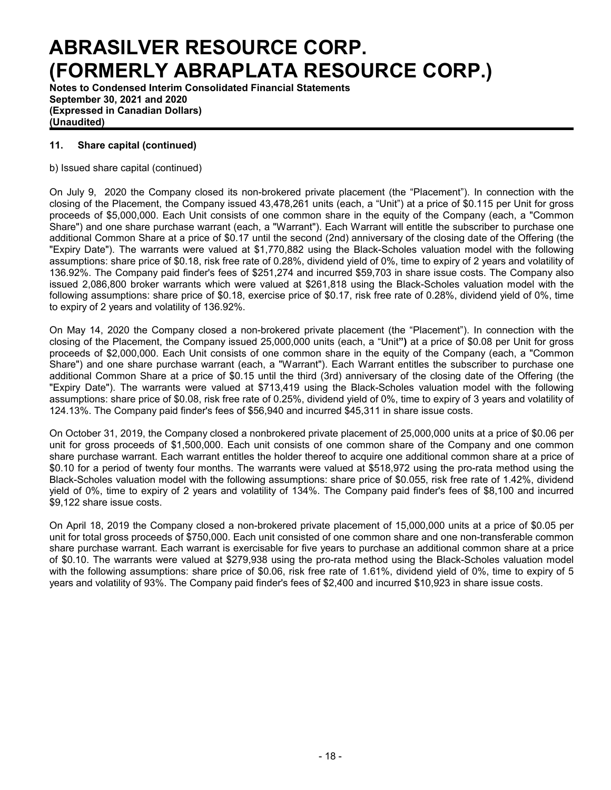**Notes to Condensed Interim Consolidated Financial Statements September 30, 2021 and 2020 (Expressed in Canadian Dollars) (Unaudited)**

## **11. Share capital (continued)**

b) Issued share capital (continued)

On July 9, 2020 the Company closed its non-brokered private placement (the "Placement"). In connection with the closing of the Placement, the Company issued 43,478,261 units (each, a "Unit") at a price of \$0.115 per Unit for gross proceeds of \$5,000,000. Each Unit consists of one common share in the equity of the Company (each, a "Common Share") and one share purchase warrant (each, a "Warrant"). Each Warrant will entitle the subscriber to purchase one additional Common Share at a price of \$0.17 until the second (2nd) anniversary of the closing date of the Offering (the "Expiry Date"). The warrants were valued at \$1,770,882 using the Black-Scholes valuation model with the following assumptions: share price of \$0.18, risk free rate of 0.28%, dividend yield of 0%, time to expiry of 2 years and volatility of 136.92%. The Company paid finder's fees of \$251,274 and incurred \$59,703 in share issue costs. The Company also issued 2,086,800 broker warrants which were valued at \$261,818 using the Black-Scholes valuation model with the following assumptions: share price of \$0.18, exercise price of \$0.17, risk free rate of 0.28%, dividend yield of 0%, time to expiry of 2 years and volatility of 136.92%.

On May 14, 2020 the Company closed a non-brokered private placement (the "Placement"). In connection with the closing of the Placement, the Company issued 25,000,000 units (each, a "Unit**")** at a price of \$0.08 per Unit for gross proceeds of \$2,000,000. Each Unit consists of one common share in the equity of the Company (each, a "Common Share") and one share purchase warrant (each, a "Warrant"). Each Warrant entitles the subscriber to purchase one additional Common Share at a price of \$0.15 until the third (3rd) anniversary of the closing date of the Offering (the "Expiry Date"). The warrants were valued at \$713,419 using the Black-Scholes valuation model with the following assumptions: share price of \$0.08, risk free rate of 0.25%, dividend yield of 0%, time to expiry of 3 years and volatility of 124.13%. The Company paid finder's fees of \$56,940 and incurred \$45,311 in share issue costs.

On October 31, 2019, the Company closed a nonbrokered private placement of 25,000,000 units at a price of \$0.06 per unit for gross proceeds of \$1,500,000. Each unit consists of one common share of the Company and one common share purchase warrant. Each warrant entitles the holder thereof to acquire one additional common share at a price of \$0.10 for a period of twenty four months. The warrants were valued at \$518,972 using the pro-rata method using the Black-Scholes valuation model with the following assumptions: share price of \$0.055, risk free rate of 1.42%, dividend yield of 0%, time to expiry of 2 years and volatility of 134%. The Company paid finder's fees of \$8,100 and incurred \$9,122 share issue costs.

On April 18, 2019 the Company closed a non-brokered private placement of 15,000,000 units at a price of \$0.05 per unit for total gross proceeds of \$750,000. Each unit consisted of one common share and one non-transferable common share purchase warrant. Each warrant is exercisable for five years to purchase an additional common share at a price of \$0.10. The warrants were valued at \$279,938 using the pro-rata method using the Black-Scholes valuation model with the following assumptions: share price of \$0.06, risk free rate of 1.61%, dividend yield of 0%, time to expiry of 5 years and volatility of 93%. The Company paid finder's fees of \$2,400 and incurred \$10,923 in share issue costs.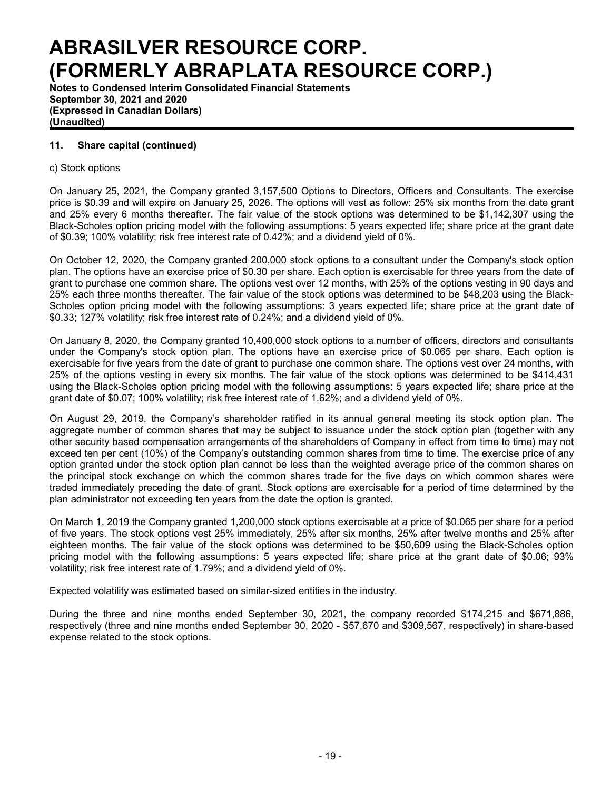**Notes to Condensed Interim Consolidated Financial Statements September 30, 2021 and 2020 (Expressed in Canadian Dollars) (Unaudited)**

### **11. Share capital (continued)**

### c) Stock options

On January 25, 2021, the Company granted 3,157,500 Options to Directors, Officers and Consultants. The exercise price is \$0.39 and will expire on January 25, 2026. The options will vest as follow: 25% six months from the date grant and 25% every 6 months thereafter. The fair value of the stock options was determined to be \$1,142,307 using the Black-Scholes option pricing model with the following assumptions: 5 years expected life; share price at the grant date of \$0.39; 100% volatility; risk free interest rate of 0.42%; and a dividend yield of 0%.

On October 12, 2020, the Company granted 200,000 stock options to a consultant under the Company's stock option plan. The options have an exercise price of \$0.30 per share. Each option is exercisable for three years from the date of grant to purchase one common share. The options vest over 12 months, with 25% of the options vesting in 90 days and 25% each three months thereafter. The fair value of the stock options was determined to be \$48,203 using the Black-Scholes option pricing model with the following assumptions: 3 years expected life; share price at the grant date of \$0.33; 127% volatility; risk free interest rate of 0.24%; and a dividend yield of 0%.

On January 8, 2020, the Company granted 10,400,000 stock options to a number of officers, directors and consultants under the Company's stock option plan. The options have an exercise price of \$0.065 per share. Each option is exercisable for five years from the date of grant to purchase one common share. The options vest over 24 months, with 25% of the options vesting in every six months. The fair value of the stock options was determined to be \$414,431 using the Black-Scholes option pricing model with the following assumptions: 5 years expected life; share price at the grant date of \$0.07; 100% volatility; risk free interest rate of 1.62%; and a dividend yield of 0%.

On August 29, 2019, the Company's shareholder ratified in its annual general meeting its stock option plan. The aggregate number of common shares that may be subject to issuance under the stock option plan (together with any other security based compensation arrangements of the shareholders of Company in effect from time to time) may not exceed ten per cent (10%) of the Company's outstanding common shares from time to time. The exercise price of any option granted under the stock option plan cannot be less than the weighted average price of the common shares on the principal stock exchange on which the common shares trade for the five days on which common shares were traded immediately preceding the date of grant. Stock options are exercisable for a period of time determined by the plan administrator not exceeding ten years from the date the option is granted.

On March 1, 2019 the Company granted 1,200,000 stock options exercisable at a price of \$0.065 per share for a period of five years. The stock options vest 25% immediately, 25% after six months, 25% after twelve months and 25% after eighteen months. The fair value of the stock options was determined to be \$50,609 using the Black-Scholes option pricing model with the following assumptions: 5 years expected life; share price at the grant date of \$0.06; 93% volatility; risk free interest rate of 1.79%; and a dividend yield of 0%.

Expected volatility was estimated based on similar-sized entities in the industry.

During the three and nine months ended September 30, 2021, the company recorded \$174,215 and \$671,886, respectively (three and nine months ended September 30, 2020 - \$57,670 and \$309,567, respectively) in share-based expense related to the stock options.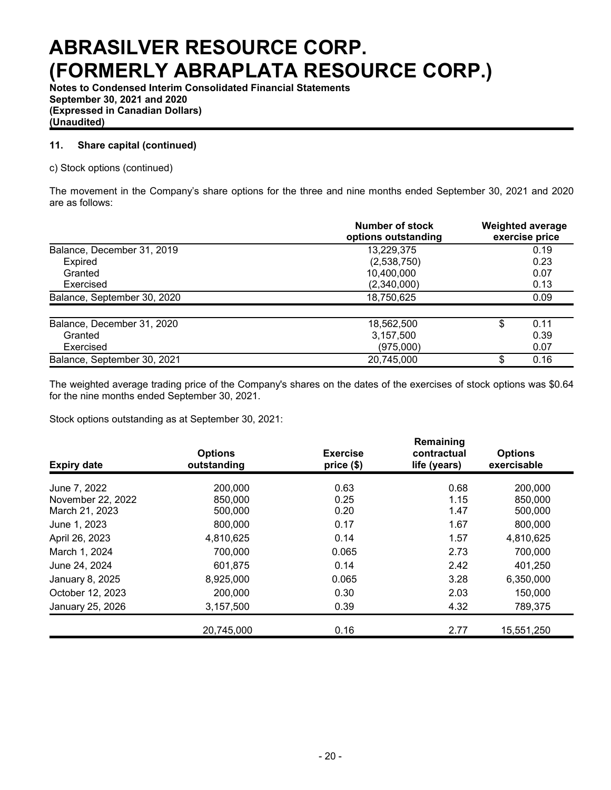**Notes to Condensed Interim Consolidated Financial Statements September 30, 2021 and 2020 (Expressed in Canadian Dollars) (Unaudited)**

## **11. Share capital (continued)**

c) Stock options (continued)

The movement in the Company's share options for the three and nine months ended September 30, 2021 and 2020 are as follows:

|                             | Number of stock<br>options outstanding | <b>Weighted average</b><br>exercise price |
|-----------------------------|----------------------------------------|-------------------------------------------|
| Balance, December 31, 2019  | 13,229,375                             | 0.19                                      |
| Expired                     | (2,538,750)                            | 0.23                                      |
| Granted                     | 10,400,000                             | 0.07                                      |
| Exercised                   | (2,340,000)                            | 0.13                                      |
| Balance, September 30, 2020 | 18,750,625                             | 0.09                                      |
| Balance, December 31, 2020  | 18,562,500                             | 0.11<br>S                                 |
| Granted                     | 3,157,500                              | 0.39                                      |
| Exercised                   | (975,000)                              | 0.07                                      |
| Balance, September 30, 2021 | 20,745,000                             | 0.16<br>\$                                |

The weighted average trading price of the Company's shares on the dates of the exercises of stock options was \$0.64 for the nine months ended September 30, 2021.

Stock options outstanding as at September 30, 2021:

| <b>Expiry date</b> | <b>Options</b><br>outstanding | <b>Exercise</b><br>price (\$) | Remaining<br>contractual<br>life (years) | <b>Options</b><br>exercisable |
|--------------------|-------------------------------|-------------------------------|------------------------------------------|-------------------------------|
| June 7, 2022       | 200,000                       | 0.63                          | 0.68                                     | 200,000                       |
| November 22, 2022  | 850,000                       | 0.25                          | 1.15                                     | 850,000                       |
| March 21, 2023     | 500,000                       | 0.20                          | 1.47                                     | 500,000                       |
| June 1, 2023       | 800,000                       | 0.17                          | 1.67                                     | 800,000                       |
| April 26, 2023     | 4,810,625                     | 0.14                          | 1.57                                     | 4,810,625                     |
| March 1, 2024      | 700,000                       | 0.065                         | 2.73                                     | 700,000                       |
| June 24, 2024      | 601,875                       | 0.14                          | 2.42                                     | 401,250                       |
| January 8, 2025    | 8,925,000                     | 0.065                         | 3.28                                     | 6,350,000                     |
| October 12, 2023   | 200,000                       | 0.30                          | 2.03                                     | 150,000                       |
| January 25, 2026   | 3,157,500                     | 0.39                          | 4.32                                     | 789,375                       |
|                    | 20,745,000                    | 0.16                          | 2.77                                     | 15,551,250                    |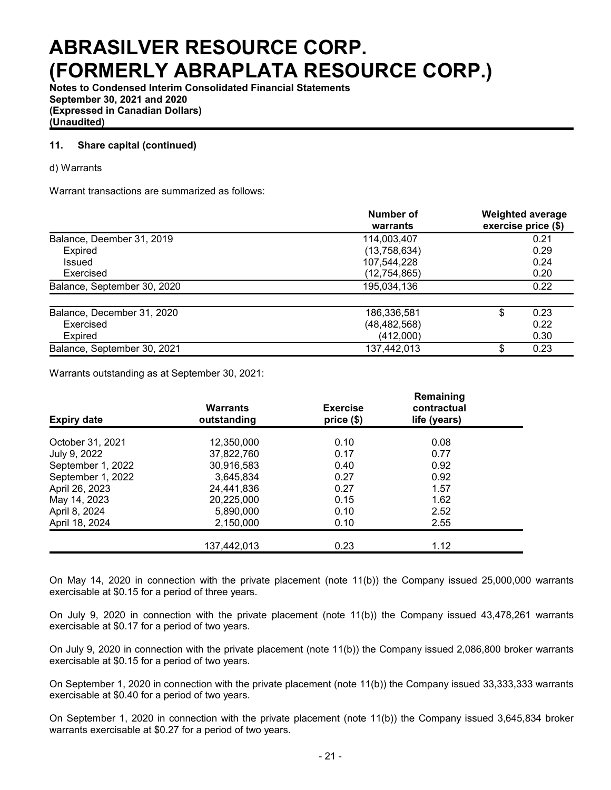**Notes to Condensed Interim Consolidated Financial Statements September 30, 2021 and 2020 (Expressed in Canadian Dollars) (Unaudited)**

### **11. Share capital (continued)**

#### d) Warrants

Warrant transactions are summarized as follows:

|                             | Number of<br>warrants | <b>Weighted average</b><br>exercise price (\$) |
|-----------------------------|-----------------------|------------------------------------------------|
| Balance, Deember 31, 2019   | 114,003,407           | 0.21                                           |
| Expired                     | (13,758,634)          | 0.29                                           |
| Issued                      | 107,544,228           | 0.24                                           |
| Exercised                   | (12, 754, 865)        | 0.20                                           |
| Balance, September 30, 2020 | 195,034,136           | 0.22                                           |
| Balance, December 31, 2020  | 186,336,581           | 0.23<br>\$                                     |
| Exercised                   | (48, 482, 568)        | 0.22                                           |
| <b>Expired</b>              | (412,000)             | 0.30                                           |
| Balance, September 30, 2021 | 137,442,013           | 0.23<br>S                                      |

Warrants outstanding as at September 30, 2021:

| <b>Expiry date</b> | <b>Warrants</b><br>outstanding | <b>Exercise</b><br>price (\$) | Remaining<br>contractual<br>life (years) |  |
|--------------------|--------------------------------|-------------------------------|------------------------------------------|--|
| October 31, 2021   | 12,350,000                     | 0.10                          | 0.08                                     |  |
| July 9, 2022       | 37,822,760                     | 0.17                          | 0.77                                     |  |
| September 1, 2022  | 30,916,583                     | 0.40                          | 0.92                                     |  |
| September 1, 2022  | 3,645,834                      | 0.27                          | 0.92                                     |  |
| April 26, 2023     | 24,441,836                     | 0.27                          | 1.57                                     |  |
| May 14, 2023       | 20,225,000                     | 0.15                          | 1.62                                     |  |
| April 8, 2024      | 5,890,000                      | 0.10                          | 2.52                                     |  |
| April 18, 2024     | 2,150,000                      | 0.10                          | 2.55                                     |  |
|                    | 137,442,013                    | 0.23                          | 1.12                                     |  |

On May 14, 2020 in connection with the private placement (note 11(b)) the Company issued 25,000,000 warrants exercisable at \$0.15 for a period of three years.

On July 9, 2020 in connection with the private placement (note 11(b)) the Company issued 43,478,261 warrants exercisable at \$0.17 for a period of two years.

On July 9, 2020 in connection with the private placement (note 11(b)) the Company issued 2,086,800 broker warrants exercisable at \$0.15 for a period of two years.

On September 1, 2020 in connection with the private placement (note 11(b)) the Company issued 33,333,333 warrants exercisable at \$0.40 for a period of two years.

On September 1, 2020 in connection with the private placement (note 11(b)) the Company issued 3,645,834 broker warrants exercisable at \$0.27 for a period of two years.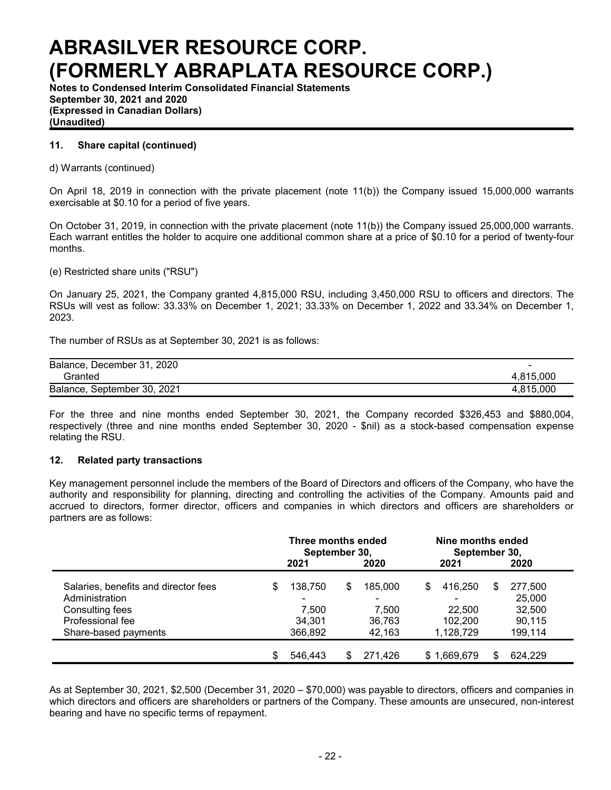**Notes to Condensed Interim Consolidated Financial Statements September 30, 2021 and 2020 (Expressed in Canadian Dollars) (Unaudited)**

### **11. Share capital (continued)**

d) Warrants (continued)

On April 18, 2019 in connection with the private placement (note 11(b)) the Company issued 15,000,000 warrants exercisable at \$0.10 for a period of five years.

On October 31, 2019, in connection with the private placement (note 11(b)) the Company issued 25,000,000 warrants. Each warrant entitles the holder to acquire one additional common share at a price of \$0.10 for a period of twenty-four months.

(e) Restricted share units ("RSU")

On January 25, 2021, the Company granted 4,815,000 RSU, including 3,450,000 RSU to officers and directors. The RSUs will vest as follow: 33.33% on December 1, 2021; 33.33% on December 1, 2022 and 33.34% on December 1, 2023.

The number of RSUs as at September 30, 2021 is as follows:

| Balance, December 31, 2020  | $\overline{\phantom{a}}$ |
|-----------------------------|--------------------------|
| Granted                     | 4.815.000                |
| Balance, September 30, 2021 | 4.815.000                |

For the three and nine months ended September 30, 2021, the Company recorded \$326,453 and \$880,004, respectively (three and nine months ended September 30, 2020 - \$nil) as a stock-based compensation expense relating the RSU.

#### **12. Related party transactions**

Key management personnel include the members of the Board of Directors and officers of the Company, who have the authority and responsibility for planning, directing and controlling the activities of the Company. Amounts paid and accrued to directors, former director, officers and companies in which directors and officers are shareholders or partners are as follows:

|                                      | Three months ended<br>September 30, |         |    |                          |   | Nine months ended<br>September 30, |     |         |  |  |
|--------------------------------------|-------------------------------------|---------|----|--------------------------|---|------------------------------------|-----|---------|--|--|
|                                      |                                     | 2021    |    | 2020                     |   | 2021                               |     | 2020    |  |  |
| Salaries, benefits and director fees | \$                                  | 138,750 | \$ | 185,000                  | S | 416,250                            | \$. | 277,500 |  |  |
| Administration                       |                                     | -       |    | $\overline{\phantom{a}}$ |   |                                    |     | 25,000  |  |  |
| Consulting fees                      |                                     | 7.500   |    | 7.500                    |   | 22,500                             |     | 32,500  |  |  |
| Professional fee                     |                                     | 34.301  |    | 36,763                   |   | 102.200                            |     | 90,115  |  |  |
| Share-based payments                 |                                     | 366.892 |    | 42.163                   |   | 1,128,729                          |     | 199,114 |  |  |
|                                      | S                                   | 546.443 | \$ | 271.426                  |   | \$1,669,679                        |     | 624.229 |  |  |

As at September 30, 2021, \$2,500 (December 31, 2020 – \$70,000) was payable to directors, officers and companies in which directors and officers are shareholders or partners of the Company. These amounts are unsecured, non-interest bearing and have no specific terms of repayment.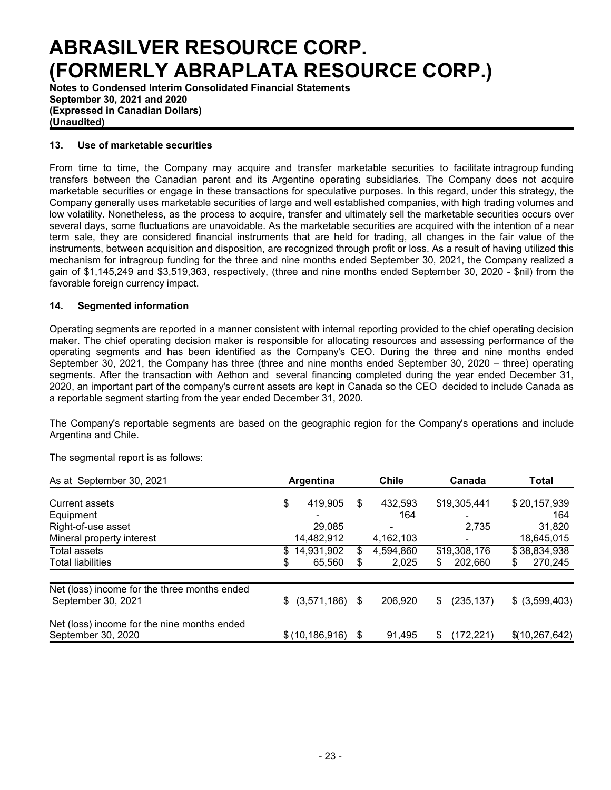**Notes to Condensed Interim Consolidated Financial Statements September 30, 2021 and 2020 (Expressed in Canadian Dollars) (Unaudited)**

#### **13. Use of marketable securities**

From time to time, the Company may acquire and transfer marketable securities to facilitate intragroup funding transfers between the Canadian parent and its Argentine operating subsidiaries. The Company does not acquire marketable securities or engage in these transactions for speculative purposes. In this regard, under this strategy, the Company generally uses marketable securities of large and well established companies, with high trading volumes and low volatility. Nonetheless, as the process to acquire, transfer and ultimately sell the marketable securities occurs over several days, some fluctuations are unavoidable. As the marketable securities are acquired with the intention of a near term sale, they are considered financial instruments that are held for trading, all changes in the fair value of the instruments, between acquisition and disposition, are recognized through profit or loss. As a result of having utilized this mechanism for intragroup funding for the three and nine months ended September 30, 2021, the Company realized a gain of \$1,145,249 and \$3,519,363, respectively, (three and nine months ended September 30, 2020 - \$nil) from the favorable foreign currency impact.

### **14. Segmented information**

Operating segments are reported in a manner consistent with internal reporting provided to the chief operating decision maker. The chief operating decision maker is responsible for allocating resources and assessing performance of the operating segments and has been identified as the Company's CEO. During the three and nine months ended September 30, 2021, the Company has three (three and nine months ended September 30, 2020 – three) operating segments. After the transaction with Aethon and several financing completed during the year ended December 31, 2020, an important part of the company's current assets are kept in Canada so the CEO decided to include Canada as a reportable segment starting from the year ended December 31, 2020.

The Company's reportable segments are based on the geographic region for the Company's operations and include Argentina and Chile.

The segmental report is as follows:

| As at September 30, 2021                                           | Argentina |                  |    | <b>Chile</b> |   | Canada                   | Total |                 |
|--------------------------------------------------------------------|-----------|------------------|----|--------------|---|--------------------------|-------|-----------------|
| Current assets                                                     | \$        | 419,905          | \$ | 432,593      |   | \$19,305,441             |       | \$20,157,939    |
| Equipment                                                          |           |                  |    | 164          |   | ۰.                       |       | 164             |
| Right-of-use asset                                                 |           | 29,085           |    | ٠            |   | 2,735                    |       | 31,820          |
| Mineral property interest                                          |           | 14,482,912       |    | 4,162,103    |   | $\overline{\phantom{a}}$ |       | 18,645,015      |
| Total assets                                                       | S         | 14,931,902       | \$ | 4,594,860    |   | \$19,308,176             |       | \$38,834,938    |
| <b>Total liabilities</b>                                           |           | 65,560           | \$ | 2,025        | S | 202,660                  | \$    | 270,245         |
| Net (loss) income for the three months ended<br>September 30, 2021 | \$        |                  |    | 206.920      |   |                          |       |                 |
|                                                                    |           | $(3,571,186)$ \$ |    |              | S | (235, 137)               |       | $$$ (3,599,403) |
| Net (loss) income for the nine months ended                        |           |                  |    |              |   |                          |       |                 |
| September 30, 2020                                                 |           | \$(10, 186, 916) | \$ | 91.495       | S | (172, 221)               |       | \$(10,267,642)  |